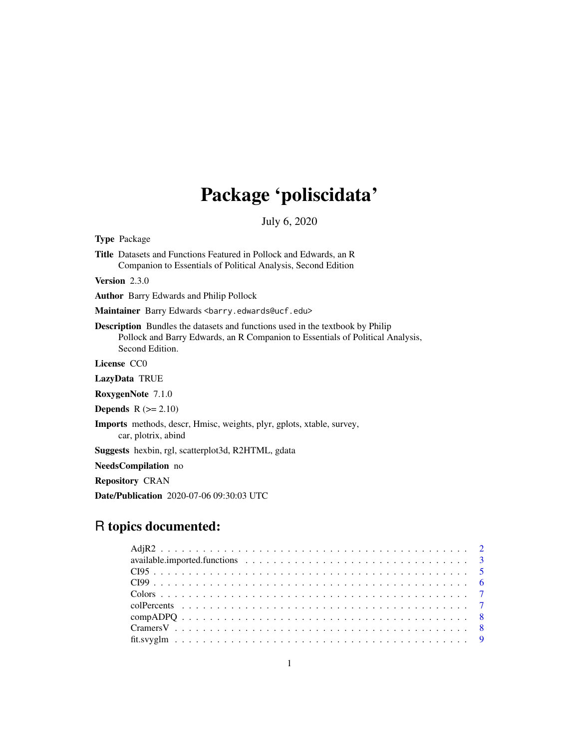# Package 'poliscidata'

July 6, 2020

<span id="page-0-0"></span>Type Package

Title Datasets and Functions Featured in Pollock and Edwards, an R Companion to Essentials of Political Analysis, Second Edition

Version 2.3.0

Author Barry Edwards and Philip Pollock

Maintainer Barry Edwards <br/>barry.edwards@ucf.edu>

Description Bundles the datasets and functions used in the textbook by Philip Pollock and Barry Edwards, an R Companion to Essentials of Political Analysis, Second Edition.

License CC0

LazyData TRUE

RoxygenNote 7.1.0

**Depends**  $R$  ( $>= 2.10$ )

Imports methods, descr, Hmisc, weights, plyr, gplots, xtable, survey,

car, plotrix, abind

Suggests hexbin, rgl, scatterplot3d, R2HTML, gdata

NeedsCompilation no

Repository CRAN

Date/Publication 2020-07-06 09:30:03 UTC

# R topics documented: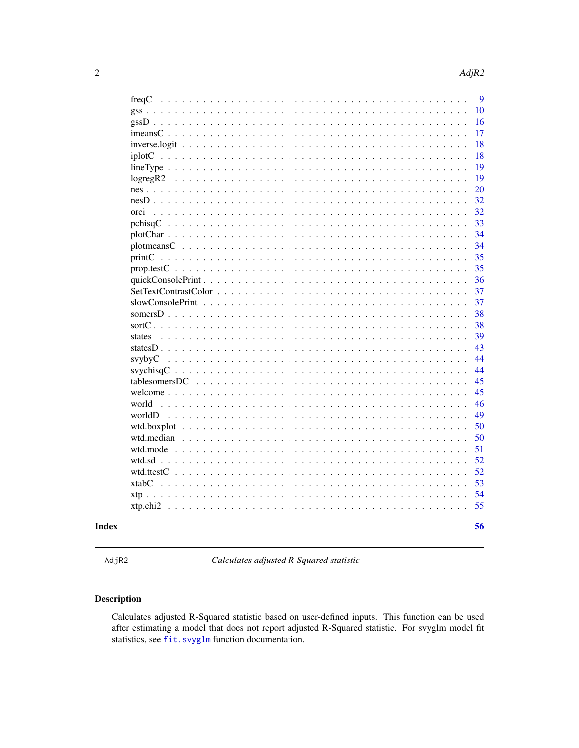<span id="page-1-0"></span>

| freqC                                                                                          | 9  |
|------------------------------------------------------------------------------------------------|----|
|                                                                                                |    |
|                                                                                                | 10 |
|                                                                                                | 16 |
|                                                                                                | 17 |
|                                                                                                | 18 |
| iplotC                                                                                         | 18 |
| $lineType \ldots \ldots \ldots \ldots \ldots \ldots \ldots \ldots \ldots \ldots \ldots \ldots$ | 19 |
| logregR2                                                                                       | 19 |
| $nes \dots \dots$                                                                              | 20 |
| $nesD \ldots \ldots$                                                                           | 32 |
| orci                                                                                           | 32 |
|                                                                                                | 33 |
|                                                                                                | 34 |
|                                                                                                | 34 |
|                                                                                                | 35 |
|                                                                                                | 35 |
|                                                                                                |    |
|                                                                                                | 36 |
|                                                                                                | 37 |
|                                                                                                | 37 |
|                                                                                                | 38 |
| sort $C$ .                                                                                     | 38 |
| states                                                                                         | 39 |
|                                                                                                | 43 |
| svybyC                                                                                         | 44 |
|                                                                                                | 44 |
|                                                                                                | 45 |
|                                                                                                | 45 |
| world                                                                                          | 46 |
| worldD                                                                                         | 49 |
|                                                                                                | 50 |
|                                                                                                | 50 |
| wtd.mode                                                                                       | 51 |
| $wtd.sd \ldots$                                                                                | 52 |
| wtd.ttestC                                                                                     | 52 |
|                                                                                                |    |
|                                                                                                | 53 |
|                                                                                                | 54 |
| xtp.chi2                                                                                       | 55 |
|                                                                                                |    |
|                                                                                                | 56 |

# **Index**

AdjR2

Calculates adjusted R-Squared statistic

# **Description**

Calculates adjusted R-Squared statistic based on user-defined inputs. This function can be used after estimating a model that does not report adjusted R-Squared statistic. For svyglm model fit statistics, see fit.svyglm function documentation.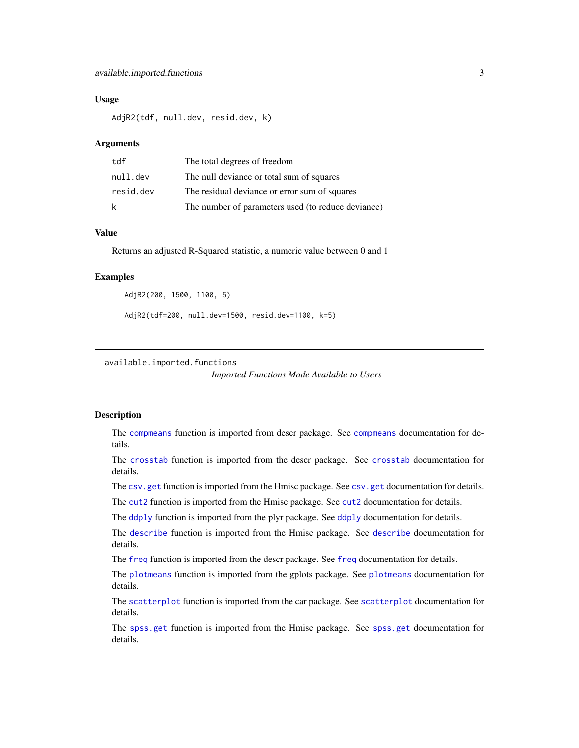#### <span id="page-2-0"></span>Usage

AdjR2(tdf, null.dev, resid.dev, k)

#### **Arguments**

| tdf       | The total degrees of freedom                       |
|-----------|----------------------------------------------------|
| null.dev  | The null deviance or total sum of squares          |
| resid.dev | The residual deviance or error sum of squares      |
| k         | The number of parameters used (to reduce deviance) |

# Value

Returns an adjusted R-Squared statistic, a numeric value between 0 and 1

#### Examples

```
AdjR2(200, 1500, 1100, 5)
```
AdjR2(tdf=200, null.dev=1500, resid.dev=1100, k=5)

available.imported.functions

*Imported Functions Made Available to Users*

#### <span id="page-2-1"></span>Description

The [compmeans](#page-2-1) function is imported from descr package. See [compmeans](#page-2-1) documentation for details.

The [crosstab](#page-2-1) function is imported from the descr package. See [crosstab](#page-2-1) documentation for details.

The [csv.get](#page-2-1) function is imported from the Hmisc package. See csv.get documentation for details.

The [cut2](#page-2-1) function is imported from the Hmisc package. See [cut2](#page-2-1) documentation for details.

The [ddply](#page-2-1) function is imported from the plyr package. See [ddply](#page-2-1) documentation for details.

The [describe](#page-2-1) function is imported from the Hmisc package. See [describe](#page-2-1) documentation for details.

The [freq](#page-2-1) function is imported from the descr package. See [freq](#page-2-1) documentation for details.

The [plotmeans](#page-2-1) function is imported from the gplots package. See [plotmeans](#page-2-1) documentation for details.

The [scatterplot](#page-2-1) function is imported from the car package. See [scatterplot](#page-2-1) documentation for details.

The [spss.get](#page-2-1) function is imported from the Hmisc package. See [spss.get](#page-2-1) documentation for details.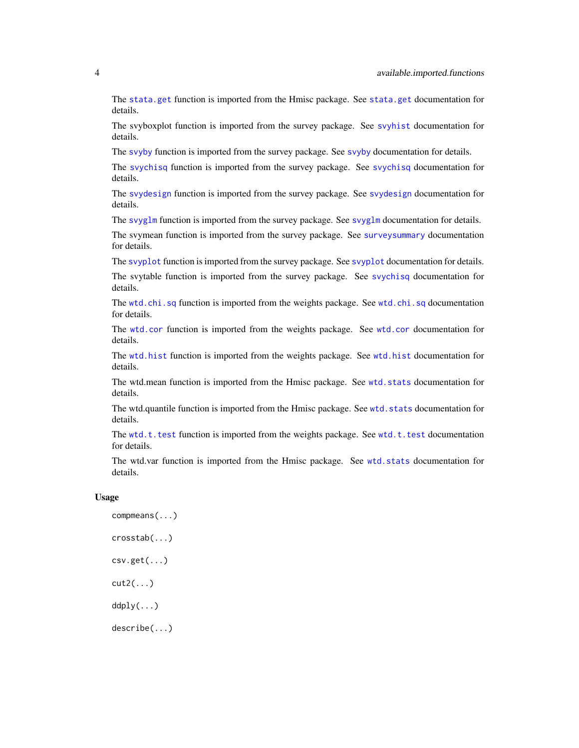<span id="page-3-0"></span>The [stata.get](#page-2-1) function is imported from the Hmisc package. See [stata.get](#page-2-1) documentation for details.

The svyboxplot function is imported from the survey package. See [svyhist](#page-0-0) documentation for details.

The [svyby](#page-2-1) function is imported from the survey package. See [svyby](#page-2-1) documentation for details.

The [svychisq](#page-2-1) function is imported from the survey package. See [svychisq](#page-2-1) documentation for details.

The [svydesign](#page-2-1) function is imported from the survey package. See [svydesign](#page-2-1) documentation for details.

The [svyglm](#page-2-1) function is imported from the survey package. See [svyglm](#page-2-1) documentation for details.

The svymean function is imported from the survey package. See [surveysummary](#page-0-0) documentation for details.

The [svyplot](#page-2-1) function is imported from the survey package. See [svyplot](#page-2-1) documentation for details.

The svytable function is imported from the survey package. See [svychisq](#page-2-1) documentation for details.

The [wtd.chi.sq](#page-2-1) function is imported from the weights package. See wtd.chi.sq documentation for details.

The [wtd.cor](#page-2-1) function is imported from the weights package. See [wtd.cor](#page-2-1) documentation for details.

The [wtd.hist](#page-2-1) function is imported from the weights package. See [wtd.hist](#page-2-1) documentation for details.

The wtd.mean function is imported from the Hmisc package. See [wtd.stats](#page-0-0) documentation for details.

The wtd.quantile function is imported from the Hmisc package. See [wtd.stats](#page-0-0) documentation for details.

The  $wtd.t.$  test function is imported from the weights package. See  $wtd.t.$  test documentation for details.

The wtd.var function is imported from the Hmisc package. See [wtd.stats](#page-0-0) documentation for details.

#### Usage

compmeans(...) crosstab(...) csv.get(...) cut2(...) ddply(...) describe(...)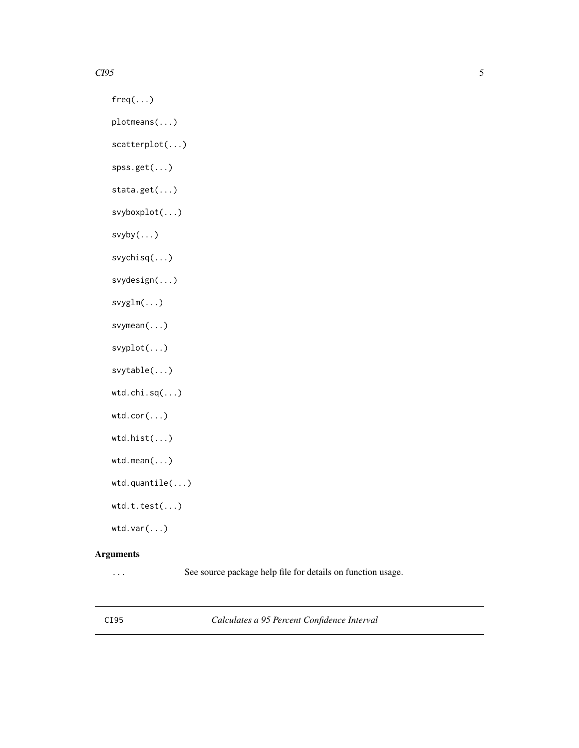#### <span id="page-4-0"></span> $CI95$  5

 $freq(...)$ 

plotmeans(...)

scatterplot(...)

spss.get(...)

stata.get(...)

svyboxplot(...)

svyby(...)

svychisq(...)

svydesign(...)

svyglm(...)

svymean(...)

svyplot(...)

svytable(...)

wtd.chi.sq(...)

wtd.cor(...)

```
wtd.hist(...)
```

```
wtd.mean(...)
```

```
wtd.quantile(...)
```
wtd.t.test(...)

wtd.var(...)

# Arguments

... See source package help file for details on function usage.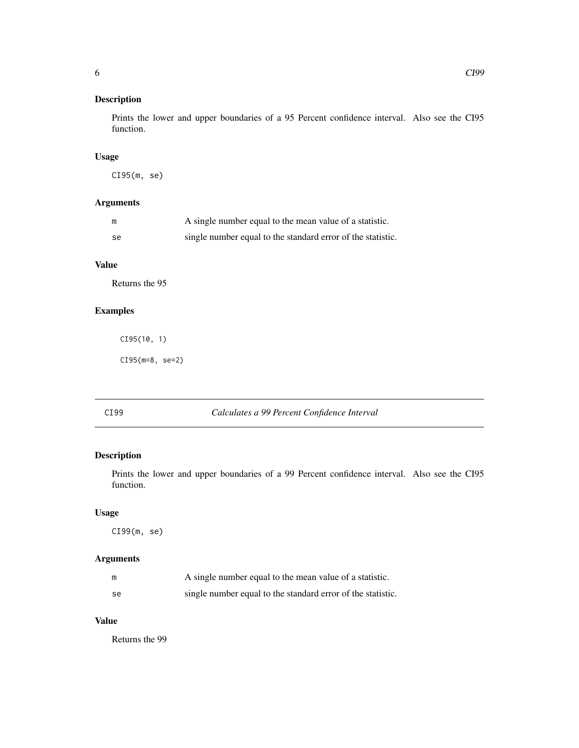<span id="page-5-0"></span>Prints the lower and upper boundaries of a 95 Percent confidence interval. Also see the CI95 function.

# Usage

CI95(m, se)

# Arguments

| m  | A single number equal to the mean value of a statistic.     |
|----|-------------------------------------------------------------|
| se | single number equal to the standard error of the statistic. |

# Value

Returns the 95

# Examples

CI95(10, 1)

CI95(m=8, se=2)

# CI99 *Calculates a 99 Percent Confidence Interval*

# Description

Prints the lower and upper boundaries of a 99 Percent confidence interval. Also see the CI95 function.

#### Usage

CI99(m, se)

# Arguments

| m  | A single number equal to the mean value of a statistic.     |
|----|-------------------------------------------------------------|
| se | single number equal to the standard error of the statistic. |

# Value

Returns the 99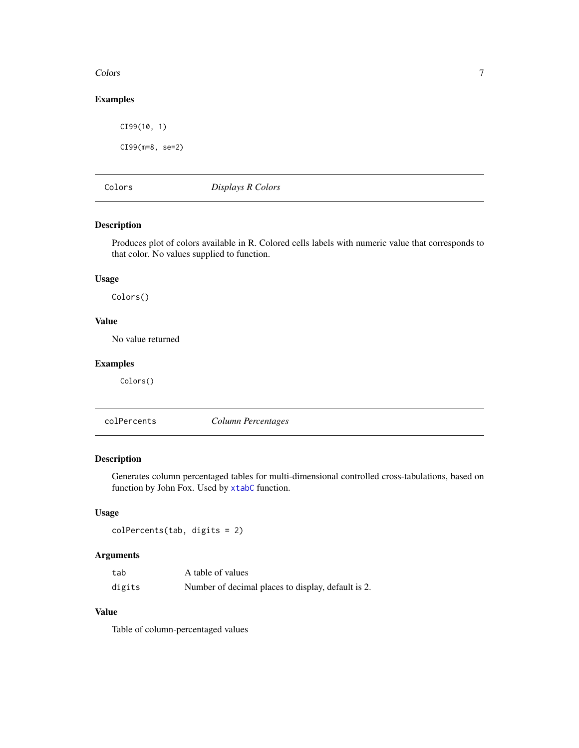#### <span id="page-6-0"></span>Colors 2008 **Colors** 2008 **Colors** 2008 **Colors** 2008 **Colors** 2008 **Colors** 2008 **Colors** 2008 **Colors** 2008 **Colors** 2008 **Colors** 2008 **Colors** 2008 **Colors** 2008 **Colors** 2008 **Colors** 2008 **Colors** 2008 **Colors** 2008

# Examples

CI99(10, 1) CI99(m=8, se=2)

<span id="page-6-1"></span>Colors *Displays R Colors*

# Description

Produces plot of colors available in R. Colored cells labels with numeric value that corresponds to that color. No values supplied to function.

#### Usage

Colors()

### Value

No value returned

# Examples

Colors()

colPercents *Column Percentages*

# Description

Generates column percentaged tables for multi-dimensional controlled cross-tabulations, based on function by John Fox. Used by [xtabC](#page-52-1) function.

#### Usage

```
colPercents(tab, digits = 2)
```
# Arguments

| tab    | A table of values                                  |
|--------|----------------------------------------------------|
| digits | Number of decimal places to display, default is 2. |

# Value

Table of column-percentaged values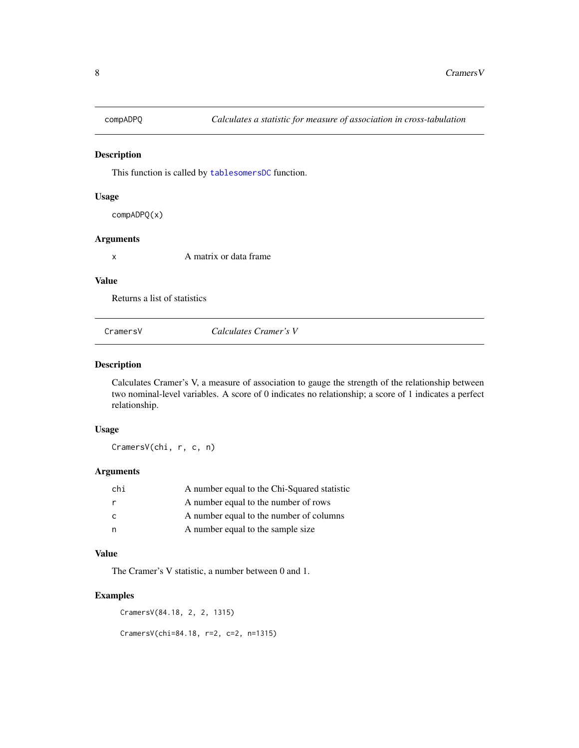<span id="page-7-0"></span>

This function is called by [tablesomersDC](#page-44-1) function.

#### Usage

compADPQ(x)

#### Arguments

x A matrix or data frame

#### Value

Returns a list of statistics

CramersV *Calculates Cramer's V*

#### Description

Calculates Cramer's V, a measure of association to gauge the strength of the relationship between two nominal-level variables. A score of 0 indicates no relationship; a score of 1 indicates a perfect relationship.

#### Usage

CramersV(chi, r, c, n)

#### Arguments

| chi          | A number equal to the Chi-Squared statistic |
|--------------|---------------------------------------------|
|              | A number equal to the number of rows        |
| $\mathsf{C}$ | A number equal to the number of columns     |
| n            | A number equal to the sample size           |

#### Value

The Cramer's V statistic, a number between 0 and 1.

#### Examples

CramersV(84.18, 2, 2, 1315)

CramersV(chi=84.18, r=2, c=2, n=1315)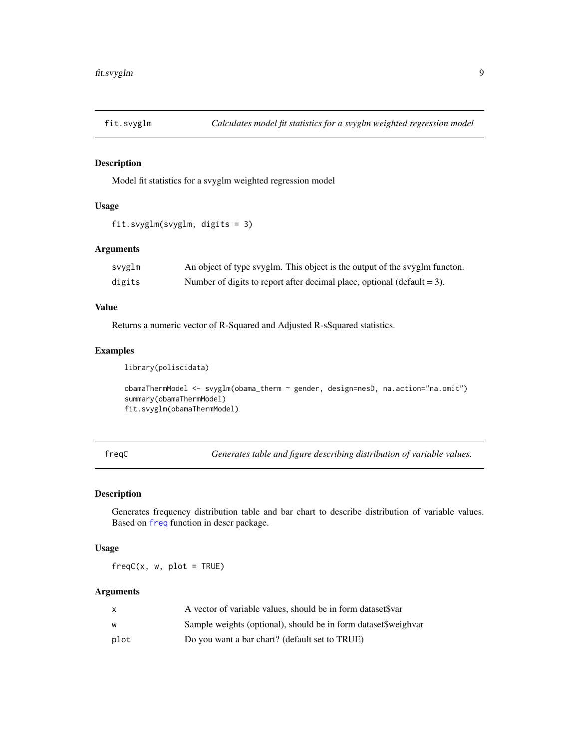<span id="page-8-1"></span><span id="page-8-0"></span>

Model fit statistics for a svyglm weighted regression model

#### Usage

```
fit.svyglm(svyglm, digits = 3)
```
# Arguments

| svyglm | An object of type svyglm. This object is the output of the svyglm functon. |
|--------|----------------------------------------------------------------------------|
| digits | Number of digits to report after decimal place, optional (default $= 3$ ). |

# Value

Returns a numeric vector of R-Squared and Adjusted R-sSquared statistics.

#### Examples

library(poliscidata)

```
obamaThermModel <- svyglm(obama_therm ~ gender, design=nesD, na.action="na.omit")
summary(obamaThermModel)
fit.svyglm(obamaThermModel)
```
freqC *Generates table and figure describing distribution of variable values.*

#### Description

Generates frequency distribution table and bar chart to describe distribution of variable values. Based on [freq](#page-2-1) function in descr package.

#### Usage

 $freqC(x, w, plot = TRUE)$ 

# Arguments

|      | A vector of variable values, should be in form dataset Svar     |
|------|-----------------------------------------------------------------|
| w    | Sample weights (optional), should be in form dataset \$weighvar |
| plot | Do you want a bar chart? (default set to TRUE)                  |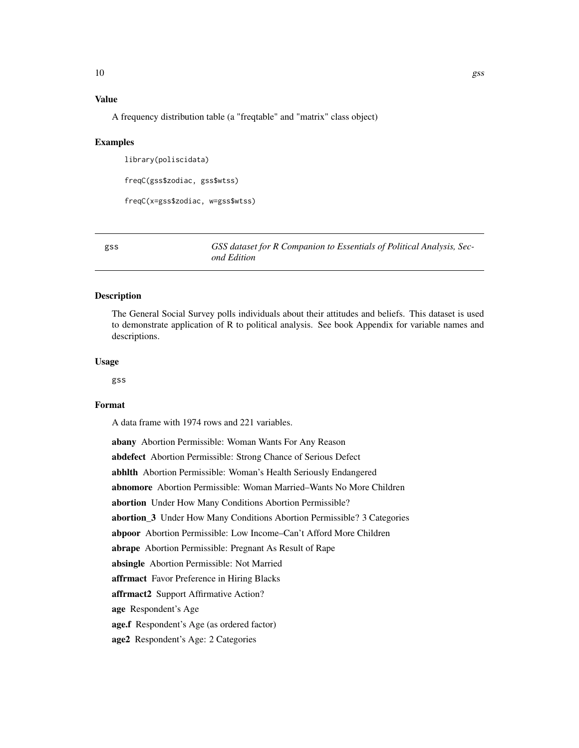# <span id="page-9-0"></span>Value

A frequency distribution table (a "freqtable" and "matrix" class object)

#### Examples

library(poliscidata)

freqC(gss\$zodiac, gss\$wtss)

freqC(x=gss\$zodiac, w=gss\$wtss)

<span id="page-9-1"></span>gss *GSS dataset for R Companion to Essentials of Political Analysis, Second Edition*

# **Description**

The General Social Survey polls individuals about their attitudes and beliefs. This dataset is used to demonstrate application of R to political analysis. See book Appendix for variable names and descriptions.

#### Usage

gss

# Format

A data frame with 1974 rows and 221 variables.

abany Abortion Permissible: Woman Wants For Any Reason abdefect Abortion Permissible: Strong Chance of Serious Defect abhlth Abortion Permissible: Woman's Health Seriously Endangered abnomore Abortion Permissible: Woman Married–Wants No More Children abortion Under How Many Conditions Abortion Permissible? abortion\_3 Under How Many Conditions Abortion Permissible? 3 Categories abpoor Abortion Permissible: Low Income–Can't Afford More Children abrape Abortion Permissible: Pregnant As Result of Rape absingle Abortion Permissible: Not Married affrmact Favor Preference in Hiring Blacks affrmact2 Support Affirmative Action? age Respondent's Age age.f Respondent's Age (as ordered factor) age2 Respondent's Age: 2 Categories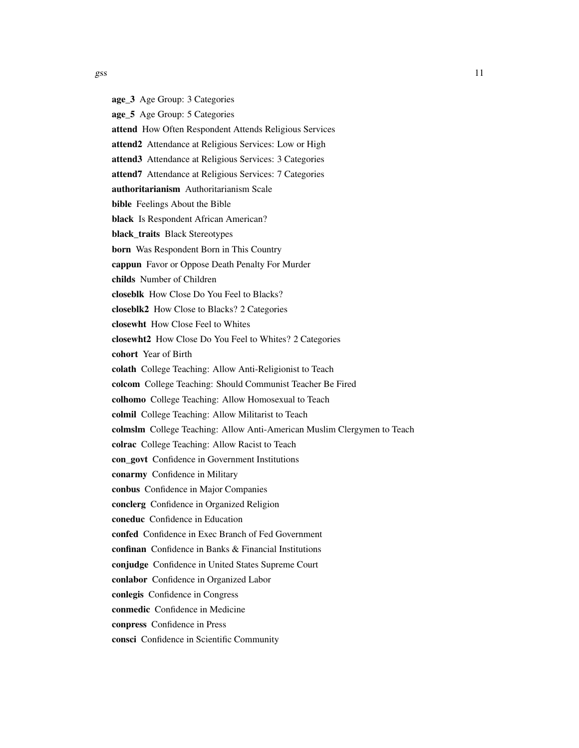age\_3 Age Group: 3 Categories age\_5 Age Group: 5 Categories attend How Often Respondent Attends Religious Services attend2 Attendance at Religious Services: Low or High attend3 Attendance at Religious Services: 3 Categories attend7 Attendance at Religious Services: 7 Categories authoritarianism Authoritarianism Scale bible Feelings About the Bible black Is Respondent African American? black\_traits Black Stereotypes born Was Respondent Born in This Country cappun Favor or Oppose Death Penalty For Murder childs Number of Children closeblk How Close Do You Feel to Blacks? closeblk2 How Close to Blacks? 2 Categories closewht How Close Feel to Whites closewht2 How Close Do You Feel to Whites? 2 Categories cohort Year of Birth colath College Teaching: Allow Anti-Religionist to Teach colcom College Teaching: Should Communist Teacher Be Fired colhomo College Teaching: Allow Homosexual to Teach colmil College Teaching: Allow Militarist to Teach colmslm College Teaching: Allow Anti-American Muslim Clergymen to Teach colrac College Teaching: Allow Racist to Teach con\_govt Confidence in Government Institutions conarmy Confidence in Military conbus Confidence in Major Companies conclerg Confidence in Organized Religion coneduc Confidence in Education confed Confidence in Exec Branch of Fed Government confinan Confidence in Banks & Financial Institutions conjudge Confidence in United States Supreme Court conlabor Confidence in Organized Labor conlegis Confidence in Congress conmedic Confidence in Medicine conpress Confidence in Press consci Confidence in Scientific Community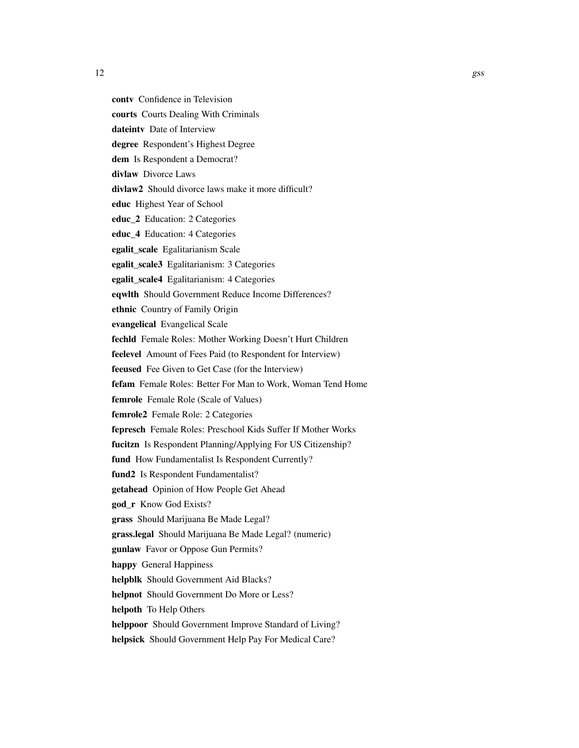contv Confidence in Television courts Courts Dealing With Criminals dateinty Date of Interview degree Respondent's Highest Degree dem Is Respondent a Democrat? divlaw Divorce Laws divlaw2 Should divorce laws make it more difficult? educ Highest Year of School educ\_2 Education: 2 Categories educ\_4 Education: 4 Categories egalit\_scale Egalitarianism Scale egalit\_scale3 Egalitarianism: 3 Categories egalit\_scale4 Egalitarianism: 4 Categories eqwlth Should Government Reduce Income Differences? ethnic Country of Family Origin evangelical Evangelical Scale fechld Female Roles: Mother Working Doesn't Hurt Children feelevel Amount of Fees Paid (to Respondent for Interview) feeused Fee Given to Get Case (for the Interview) fefam Female Roles: Better For Man to Work, Woman Tend Home femrole Female Role (Scale of Values) femrole<sub>2</sub> Female Role: 2 Categories fepresch Female Roles: Preschool Kids Suffer If Mother Works fucitzn Is Respondent Planning/Applying For US Citizenship? fund How Fundamentalist Is Respondent Currently? fund<sub>2</sub> Is Respondent Fundamentalist? getahead Opinion of How People Get Ahead god\_r Know God Exists? grass Should Marijuana Be Made Legal? grass.legal Should Marijuana Be Made Legal? (numeric) gunlaw Favor or Oppose Gun Permits? happy General Happiness helpblk Should Government Aid Blacks? helpnot Should Government Do More or Less? helpoth To Help Others helppoor Should Government Improve Standard of Living? helpsick Should Government Help Pay For Medical Care?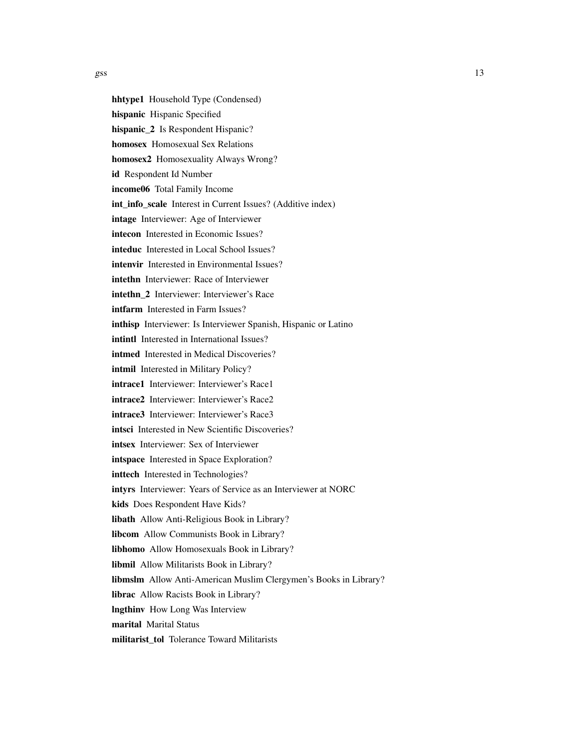hhtype1 Household Type (Condensed) hispanic Hispanic Specified hispanic\_2 Is Respondent Hispanic? homosex Homosexual Sex Relations homosex2 Homosexuality Always Wrong? id Respondent Id Number income06 Total Family Income int\_info\_scale Interest in Current Issues? (Additive index) intage Interviewer: Age of Interviewer intecon Interested in Economic Issues? inteduc Interested in Local School Issues? intenvir Interested in Environmental Issues? intethn Interviewer: Race of Interviewer intethn 2 Interviewer: Interviewer's Race intfarm Interested in Farm Issues? inthisp Interviewer: Is Interviewer Spanish, Hispanic or Latino intintl Interested in International Issues? intmed Interested in Medical Discoveries? intmil Interested in Military Policy? intrace1 Interviewer: Interviewer's Race1 intrace2 Interviewer: Interviewer's Race2 intrace3 Interviewer: Interviewer's Race3 intsci Interested in New Scientific Discoveries? intsex Interviewer: Sex of Interviewer intspace Interested in Space Exploration? inttech Interested in Technologies? intyrs Interviewer: Years of Service as an Interviewer at NORC kids Does Respondent Have Kids? libath Allow Anti-Religious Book in Library? libcom Allow Communists Book in Library? libhomo Allow Homosexuals Book in Library? libmil Allow Militarists Book in Library? libmslm Allow Anti-American Muslim Clergymen's Books in Library? librac Allow Racists Book in Library? lngthinv How Long Was Interview marital Marital Status militarist\_tol Tolerance Toward Militarists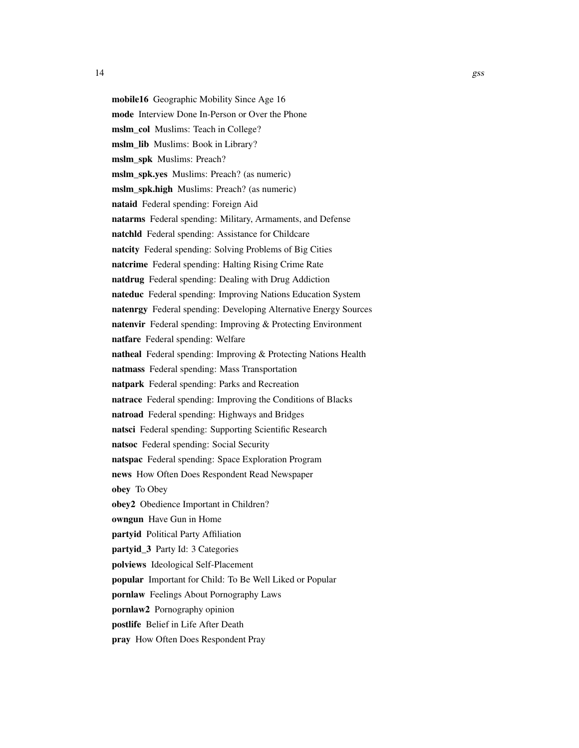mobile16 Geographic Mobility Since Age 16 mode Interview Done In-Person or Over the Phone mslm\_col Muslims: Teach in College? mslm\_lib Muslims: Book in Library? mslm\_spk Muslims: Preach? mslm spk.yes Muslims: Preach? (as numeric) mslm\_spk.high Muslims: Preach? (as numeric) nataid Federal spending: Foreign Aid natarms Federal spending: Military, Armaments, and Defense natchld Federal spending: Assistance for Childcare natcity Federal spending: Solving Problems of Big Cities natcrime Federal spending: Halting Rising Crime Rate natdrug Federal spending: Dealing with Drug Addiction nateduc Federal spending: Improving Nations Education System natenrgy Federal spending: Developing Alternative Energy Sources natenvir Federal spending: Improving & Protecting Environment natfare Federal spending: Welfare natheal Federal spending: Improving & Protecting Nations Health natmass Federal spending: Mass Transportation natpark Federal spending: Parks and Recreation natrace Federal spending: Improving the Conditions of Blacks natroad Federal spending: Highways and Bridges natsci Federal spending: Supporting Scientific Research natsoc Federal spending: Social Security natspac Federal spending: Space Exploration Program news How Often Does Respondent Read Newspaper obey To Obey obey2 Obedience Important in Children? owngun Have Gun in Home partyid Political Party Affiliation partyid\_3 Party Id: 3 Categories polviews Ideological Self-Placement popular Important for Child: To Be Well Liked or Popular pornlaw Feelings About Pornography Laws pornlaw2 Pornography opinion postlife Belief in Life After Death

pray How Often Does Respondent Pray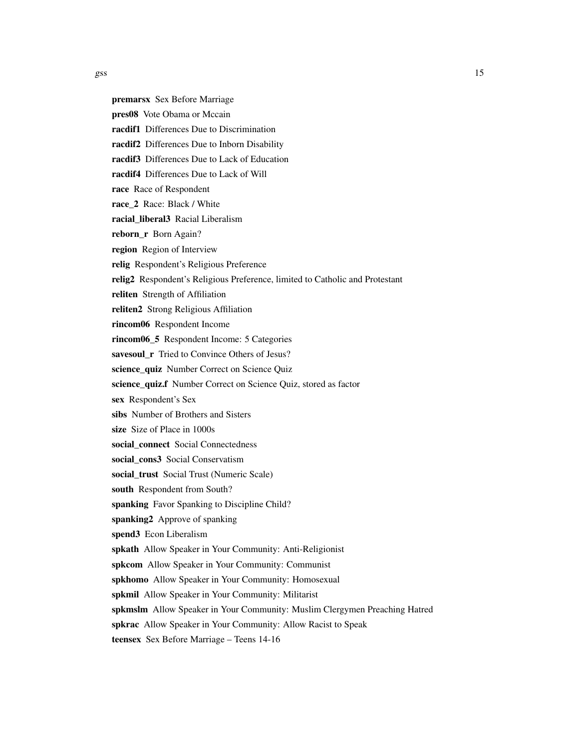- premarsx Sex Before Marriage
- pres08 Vote Obama or Mccain
- racdif1 Differences Due to Discrimination
- racdif2 Differences Due to Inborn Disability
- racdif3 Differences Due to Lack of Education
- racdif4 Differences Due to Lack of Will
- race Race of Respondent
- race\_2 Race: Black / White
- racial liberal3 Racial Liberalism
- reborn\_r Born Again?
- region Region of Interview
- relig Respondent's Religious Preference
- relig2 Respondent's Religious Preference, limited to Catholic and Protestant
- reliten Strength of Affiliation
- reliten2 Strong Religious Affiliation
- rincom06 Respondent Income
- rincom06 5 Respondent Income: 5 Categories
- savesoul\_r Tried to Convince Others of Jesus?
- science quiz Number Correct on Science Quiz
- science\_quiz.f Number Correct on Science Quiz, stored as factor
- sex Respondent's Sex
- sibs Number of Brothers and Sisters
- size Size of Place in 1000s
- social\_connect Social Connectedness
- social cons3 Social Conservatism
- social trust Social Trust (Numeric Scale)
- south Respondent from South?
- spanking Favor Spanking to Discipline Child?
- spanking2 Approve of spanking
- spend3 Econ Liberalism
- spkath Allow Speaker in Your Community: Anti-Religionist
- spkcom Allow Speaker in Your Community: Communist
- spkhomo Allow Speaker in Your Community: Homosexual
- spkmil Allow Speaker in Your Community: Militarist
- spkmslm Allow Speaker in Your Community: Muslim Clergymen Preaching Hatred
- spkrac Allow Speaker in Your Community: Allow Racist to Speak
- teensex Sex Before Marriage Teens 14-16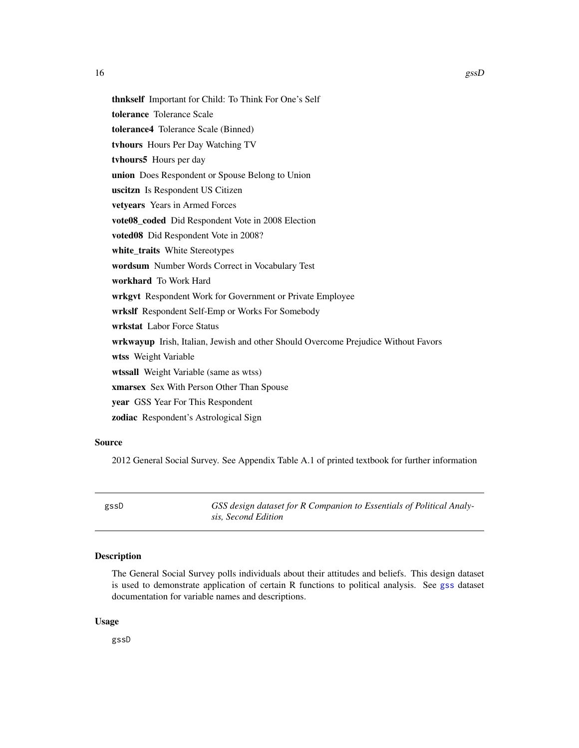<span id="page-15-0"></span>thnkself Important for Child: To Think For One's Self tolerance Tolerance Scale tolerance4 Tolerance Scale (Binned) tvhours Hours Per Day Watching TV tvhours5 Hours per day union Does Respondent or Spouse Belong to Union uscitzn Is Respondent US Citizen vetyears Years in Armed Forces vote08\_coded Did Respondent Vote in 2008 Election voted08 Did Respondent Vote in 2008? white\_traits White Stereotypes wordsum Number Words Correct in Vocabulary Test workhard To Work Hard wrkgvt Respondent Work for Government or Private Employee wrkslf Respondent Self-Emp or Works For Somebody wrkstat Labor Force Status wrkwayup Irish, Italian, Jewish and other Should Overcome Prejudice Without Favors wtss Weight Variable wtssall Weight Variable (same as wtss) xmarsex Sex With Person Other Than Spouse year GSS Year For This Respondent zodiac Respondent's Astrological Sign

#### Source

2012 General Social Survey. See Appendix Table A.1 of printed textbook for further information

gssD *GSS design dataset for R Companion to Essentials of Political Analysis, Second Edition*

#### Description

The General Social Survey polls individuals about their attitudes and beliefs. This design dataset is used to demonstrate application of certain R functions to political analysis. See [gss](#page-9-1) dataset documentation for variable names and descriptions.

#### Usage

gssD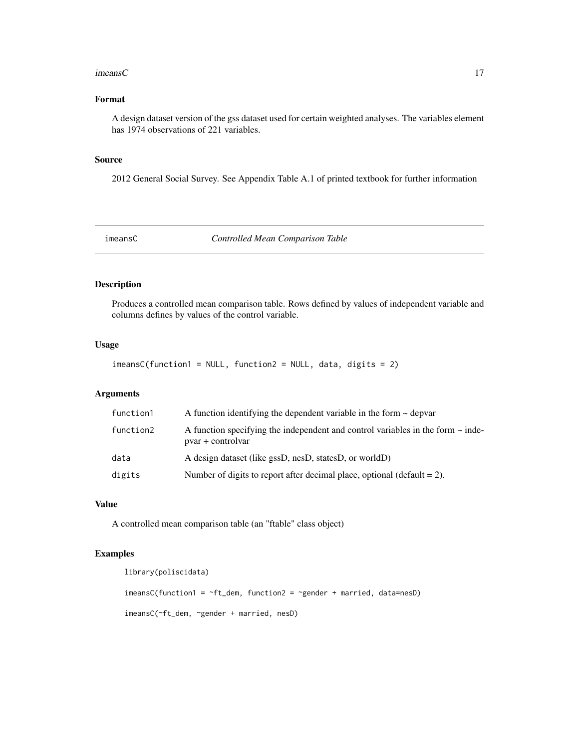#### <span id="page-16-0"></span> $\epsilon$  imeans C  $\epsilon$  17

# Format

A design dataset version of the gss dataset used for certain weighted analyses. The variables element has 1974 observations of 221 variables.

#### Source

2012 General Social Survey. See Appendix Table A.1 of printed textbook for further information

<span id="page-16-1"></span>

imeansC *Controlled Mean Comparison Table*

#### Description

Produces a controlled mean comparison table. Rows defined by values of independent variable and columns defines by values of the control variable.

# Usage

 $i$ meansC(function1 = NULL, function2 = NULL, data, digits = 2)

# Arguments

| function1 | A function identifying the dependent variable in the form $\sim$ depvar                                   |
|-----------|-----------------------------------------------------------------------------------------------------------|
| function2 | A function specifying the independent and control variables in the form $\sim$ inde-<br>pvar + controlvar |
| data      | A design dataset (like gssD, nesD, statesD, or worldD)                                                    |
| digits    | Number of digits to report after decimal place, optional (default $= 2$ ).                                |

# Value

A controlled mean comparison table (an "ftable" class object)

#### Examples

```
library(poliscidata)
imeansC(function1 = \negft_dem, function2 = \neggender + married, data=nesD)
imeansC(~ft_dem, ~gender + married, nesD)
```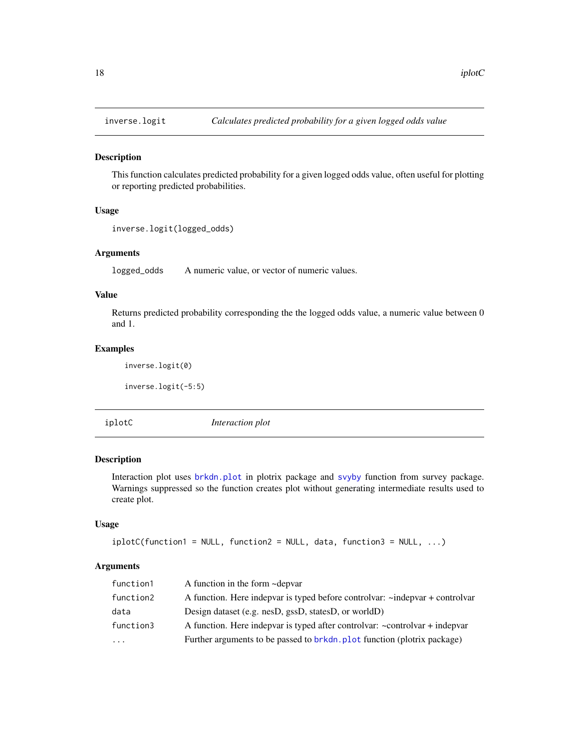<span id="page-17-0"></span>

This function calculates predicted probability for a given logged odds value, often useful for plotting or reporting predicted probabilities.

#### Usage

```
inverse.logit(logged_odds)
```
#### Arguments

logged\_odds A numeric value, or vector of numeric values.

#### Value

Returns predicted probability corresponding the the logged odds value, a numeric value between 0 and 1.

# Examples

inverse.logit(0)

inverse.logit(-5:5)

iplotC *Interaction plot*

# Description

Interaction plot uses [brkdn.plot](#page-0-0) in plotrix package and [svyby](#page-2-1) function from survey package. Warnings suppressed so the function creates plot without generating intermediate results used to create plot.

#### Usage

```
iplotC(function1 = NULL, function2 = NULL, data, function3 = NULL, ...)
```
#### Arguments

| A function in the form ~depvar<br>function1                                                    |  |
|------------------------------------------------------------------------------------------------|--|
| A function. Here indepted is typed before controlvar: ~indepted + controlvar<br>function2      |  |
| Design dataset (e.g. nesD, gssD, statesD, or worldD)<br>data                                   |  |
| A function. Here indepvar is typed after controlvar: $\sim$ controlvar + indepvar<br>function3 |  |
| Further arguments to be passed to brkdn. plot function (plotrix package)<br>$\cdots$           |  |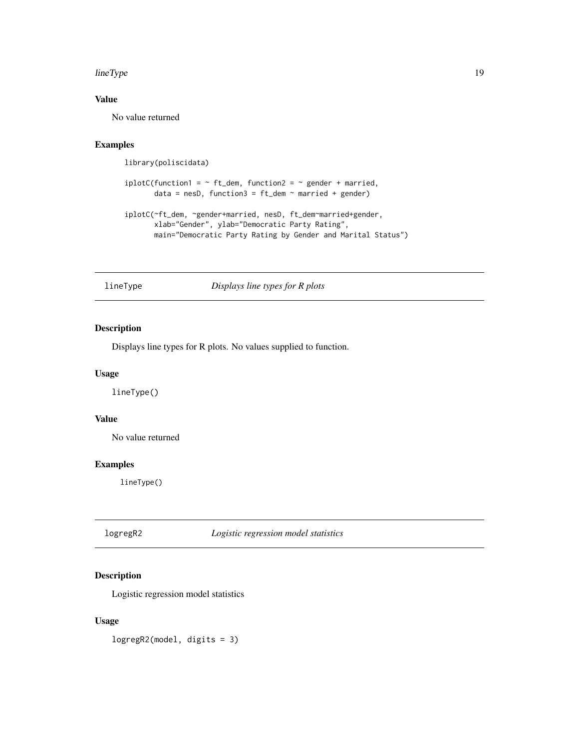#### <span id="page-18-0"></span>lineType 19

# Value

No value returned

# Examples

library(poliscidata)

```
iplotC(function1 = - ft_dem, function2 = - gender + married,data = nesD, function3 = ft_dem ~ number married + gender)
```

```
iplotC(~ft_dem, ~gender+married, nesD, ft_dem~married+gender,
      xlab="Gender", ylab="Democratic Party Rating",
      main="Democratic Party Rating by Gender and Marital Status")
```
lineType *Displays line types for R plots*

# Description

Displays line types for R plots. No values supplied to function.

# Usage

lineType()

#### Value

No value returned

#### Examples

lineType()

logregR2 *Logistic regression model statistics*

#### Description

Logistic regression model statistics

#### Usage

logregR2(model, digits = 3)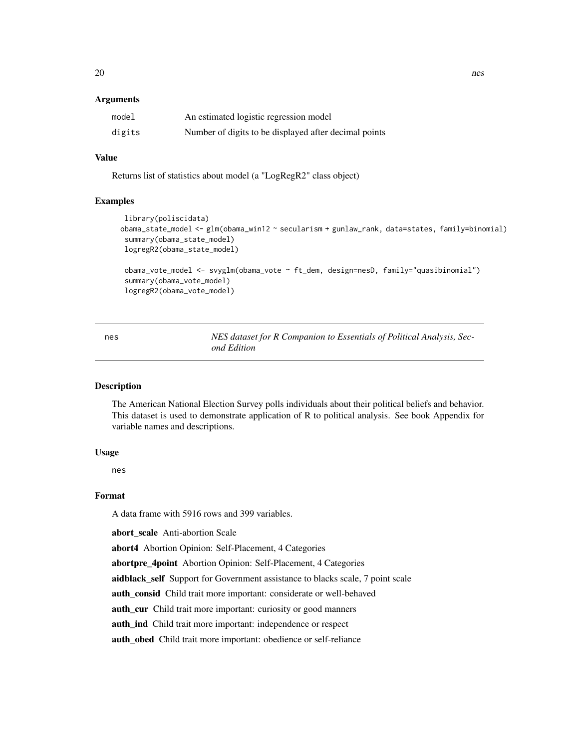#### <span id="page-19-0"></span>Arguments

| model  | An estimated logistic regression model                |
|--------|-------------------------------------------------------|
| digits | Number of digits to be displayed after decimal points |

# Value

Returns list of statistics about model (a "LogRegR2" class object)

#### Examples

```
library(poliscidata)
obama_state_model <- glm(obama_win12 ~ secularism + gunlaw_rank, data=states, family=binomial)
 summary(obama_state_model)
 logregR2(obama_state_model)
 obama_vote_model <- svyglm(obama_vote ~ ft_dem, design=nesD, family="quasibinomial")
 summary(obama_vote_model)
 logregR2(obama_vote_model)
```
<span id="page-19-1"></span>nes *NES dataset for R Companion to Essentials of Political Analysis, Second Edition*

#### Description

The American National Election Survey polls individuals about their political beliefs and behavior. This dataset is used to demonstrate application of R to political analysis. See book Appendix for variable names and descriptions.

#### Usage

nes

#### Format

A data frame with 5916 rows and 399 variables.

abort scale Anti-abortion Scale

abort4 Abortion Opinion: Self-Placement, 4 Categories

abortpre\_4point Abortion Opinion: Self-Placement, 4 Categories

aidblack\_self Support for Government assistance to blacks scale, 7 point scale

auth\_consid Child trait more important: considerate or well-behaved

auth\_cur Child trait more important: curiosity or good manners

auth\_ind Child trait more important: independence or respect

auth\_obed Child trait more important: obedience or self-reliance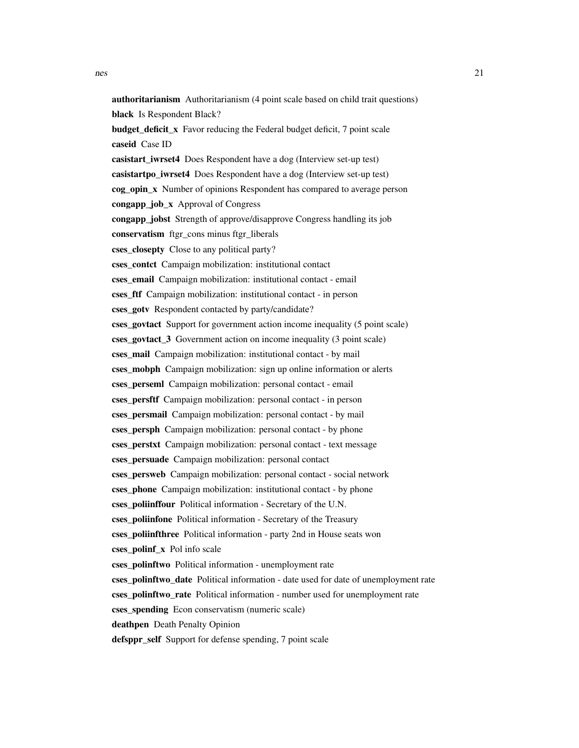caseid Case ID

authoritarianism Authoritarianism (4 point scale based on child trait questions) black Is Respondent Black? budget deficit x Favor reducing the Federal budget deficit, 7 point scale casistart iwrset4 Does Respondent have a dog (Interview set-up test) casistartpo iwrset4 Does Respondent have a dog (Interview set-up test) cog\_opin\_x Number of opinions Respondent has compared to average person congapp\_job\_x Approval of Congress congapp jobst Strength of approve/disapprove Congress handling its job conservatism ftgr\_cons minus ftgr\_liberals cses\_closepty Close to any political party? cses\_contct Campaign mobilization: institutional contact cses\_email Campaign mobilization: institutional contact - email cses ftf Campaign mobilization: institutional contact - in person cses goty Respondent contacted by party/candidate? cses govtact Support for government action income inequality (5 point scale) cses govtact 3 Government action on income inequality (3 point scale) cses\_mail Campaign mobilization: institutional contact - by mail cses\_mobph Campaign mobilization: sign up online information or alerts cses\_perseml Campaign mobilization: personal contact - email cses\_persftf Campaign mobilization: personal contact - in person

cses\_persmail Campaign mobilization: personal contact - by mail

cses\_persph Campaign mobilization: personal contact - by phone

cses\_perstxt Campaign mobilization: personal contact - text message

cses\_persuade Campaign mobilization: personal contact

cses persweb Campaign mobilization: personal contact - social network

cses phone Campaign mobilization: institutional contact - by phone

cses\_poliinffour Political information - Secretary of the U.N.

cses\_poliinfone Political information - Secretary of the Treasury

cses\_poliinfthree Political information - party 2nd in House seats won

cses\_polinf\_x Pol info scale

cses\_polinftwo Political information - unemployment rate

cses\_polinftwo\_date Political information - date used for date of unemployment rate

cses\_polinftwo\_rate Political information - number used for unemployment rate

cses\_spending Econ conservatism (numeric scale)

deathpen Death Penalty Opinion

defsppr\_self Support for defense spending, 7 point scale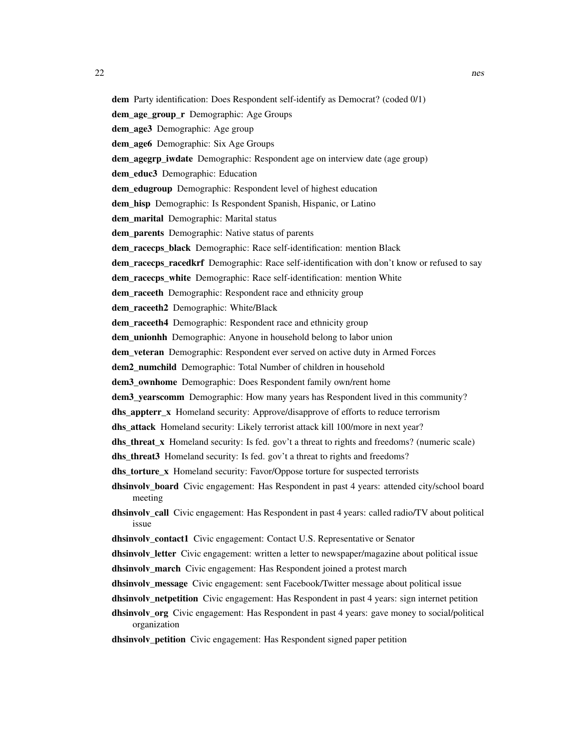dem Party identification: Does Respondent self-identify as Democrat? (coded 0/1) dem\_age\_group\_r Demographic: Age Groups dem\_age3 Demographic: Age group dem\_age6 Demographic: Six Age Groups dem\_agegrp\_iwdate Demographic: Respondent age on interview date (age group) dem\_educ3 Demographic: Education dem\_edugroup Demographic: Respondent level of highest education dem\_hisp Demographic: Is Respondent Spanish, Hispanic, or Latino dem\_marital Demographic: Marital status dem\_parents Demographic: Native status of parents dem\_racecps\_black Demographic: Race self-identification: mention Black dem\_racecps\_racedkrf Demographic: Race self-identification with don't know or refused to say dem\_racecps\_white Demographic: Race self-identification: mention White dem raceeth Demographic: Respondent race and ethnicity group dem raceeth2 Demographic: White/Black dem\_raceeth4 Demographic: Respondent race and ethnicity group dem\_unionhh Demographic: Anyone in household belong to labor union dem\_veteran Demographic: Respondent ever served on active duty in Armed Forces dem2 numchild Demographic: Total Number of children in household dem3\_ownhome Demographic: Does Respondent family own/rent home dem3 yearscomm Demographic: How many years has Respondent lived in this community? dhs appterr x Homeland security: Approve/disapprove of efforts to reduce terrorism dhs attack Homeland security: Likely terrorist attack kill 100/more in next year? dhs\_threat\_x Homeland security: Is fed. gov't a threat to rights and freedoms? (numeric scale) dhs\_threat3 Homeland security: Is fed. gov't a threat to rights and freedoms? dhs\_torture\_x Homeland security: Favor/Oppose torture for suspected terrorists dhsinvolv board Civic engagement: Has Respondent in past 4 years: attended city/school board meeting dhsinvolv\_call Civic engagement: Has Respondent in past 4 years: called radio/TV about political issue dhsinvolv\_contact1 Civic engagement: Contact U.S. Representative or Senator **dhsinvolv** letter Civic engagement: written a letter to newspaper/magazine about political issue dhsinvolv march Civic engagement: Has Respondent joined a protest march **dhsinvolv** message Civic engagement: sent Facebook/Twitter message about political issue dhsinvolv netpetition Civic engagement: Has Respondent in past 4 years: sign internet petition dhsinvolv\_org Civic engagement: Has Respondent in past 4 years: gave money to social/political organization dhsinvolv\_petition Civic engagement: Has Respondent signed paper petition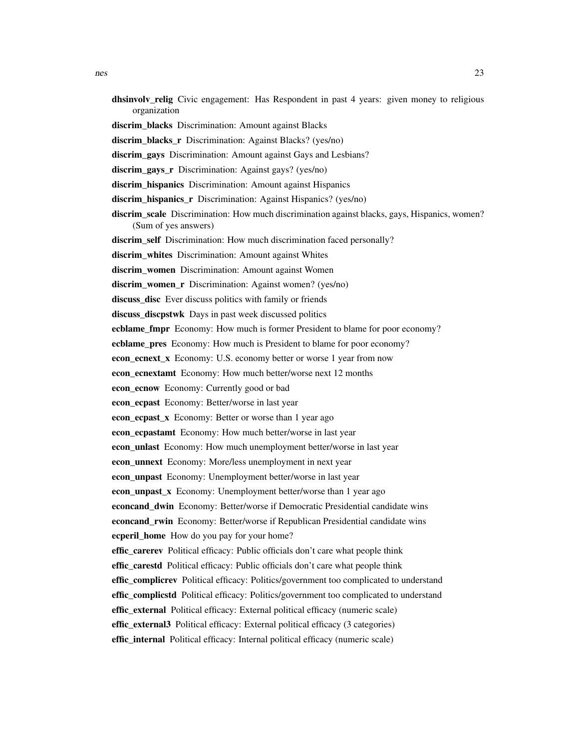- dhsinvolv\_relig Civic engagement: Has Respondent in past 4 years: given money to religious organization
- discrim\_blacks Discrimination: Amount against Blacks
- discrim\_blacks\_r Discrimination: Against Blacks? (yes/no)
- discrim\_gays Discrimination: Amount against Gays and Lesbians?
- discrim gays r Discrimination: Against gays? (yes/no)
- discrim hispanics Discrimination: Amount against Hispanics
- discrim\_hispanics\_r Discrimination: Against Hispanics? (yes/no)
- discrim\_scale Discrimination: How much discrimination against blacks, gays, Hispanics, women? (Sum of yes answers)
- discrim self Discrimination: How much discrimination faced personally?
- discrim\_whites Discrimination: Amount against Whites
- discrim\_women Discrimination: Amount against Women
- discrim\_women\_r Discrimination: Against women? (yes/no)
- discuss disc Ever discuss politics with family or friends
- discuss\_discpstwk Days in past week discussed politics
- **ecblame\_fmpr** Economy: How much is former President to blame for poor economy?
- ecblame\_pres Economy: How much is President to blame for poor economy?
- econ\_ecnext\_x Economy: U.S. economy better or worse 1 year from now
- econ\_ecnextamt Economy: How much better/worse next 12 months
- econ\_ecnow Economy: Currently good or bad
- **econ** ecpast Economy: Better/worse in last year
- econ ecpast x Economy: Better or worse than 1 year ago
- econ ecpastamt Economy: How much better/worse in last year
- econ\_unlast Economy: How much unemployment better/worse in last year
- econ\_unnext Economy: More/less unemployment in next year
- econ\_unpast Economy: Unemployment better/worse in last year
- **econ\_unpast\_x** Economy: Unemployment better/worse than 1 year ago
- **econcand dwin** Economy: Better/worse if Democratic Presidential candidate wins
- **econcand rwin** Economy: Better/worse if Republican Presidential candidate wins ecperil home How do you pay for your home?
- effic\_carerev Political efficacy: Public officials don't care what people think
- effic\_carestd Political efficacy: Public officials don't care what people think
- effic\_complicrev Political efficacy: Politics/government too complicated to understand
- **effic\_complicstd** Political efficacy: Politics/government too complicated to understand
- effic\_external Political efficacy: External political efficacy (numeric scale)
- effic external3 Political efficacy: External political efficacy (3 categories)
- effic\_internal Political efficacy: Internal political efficacy (numeric scale)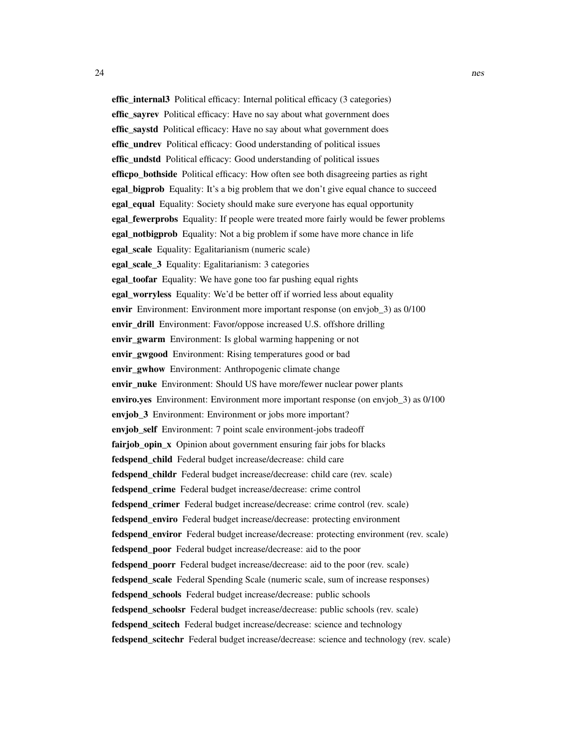effic\_internal3 Political efficacy: Internal political efficacy (3 categories) effic\_sayrev Political efficacy: Have no say about what government does effic saystd Political efficacy: Have no say about what government does effic undrev Political efficacy: Good understanding of political issues effic undstd Political efficacy: Good understanding of political issues efficpo bothside Political efficacy: How often see both disagreeing parties as right **egal\_bigprob** Equality: It's a big problem that we don't give equal chance to succeed **egal equal Equality:** Society should make sure everyone has equal opportunity egal fewerprobs Equality: If people were treated more fairly would be fewer problems egal\_notbigprob Equality: Not a big problem if some have more chance in life egal\_scale Equality: Egalitarianism (numeric scale) egal\_scale\_3 Equality: Egalitarianism: 3 categories egal\_toofar Equality: We have gone too far pushing equal rights egal worryless Equality: We'd be better off if worried less about equality envir Environment: Environment more important response (on envjob 3) as 0/100 envir drill Environment: Favor/oppose increased U.S. offshore drilling envir gwarm Environment: Is global warming happening or not envir\_gwgood Environment: Rising temperatures good or bad envir\_gwhow Environment: Anthropogenic climate change envir\_nuke Environment: Should US have more/fewer nuclear power plants enviro.yes Environment: Environment more important response (on envjob\_3) as 0/100 enviob 3 Environment: Environment or jobs more important? envjob\_self Environment: 7 point scale environment-jobs tradeoff fairjob\_opin\_x Opinion about government ensuring fair jobs for blacks fedspend child Federal budget increase/decrease: child care fedspend childr Federal budget increase/decrease: child care (rev. scale) fedspend crime Federal budget increase/decrease: crime control fedspend\_crimer Federal budget increase/decrease: crime control (rev. scale) fedspend\_enviro Federal budget increase/decrease: protecting environment fedspend\_enviror Federal budget increase/decrease: protecting environment (rev. scale) fedspend\_poor Federal budget increase/decrease: aid to the poor fedspend\_poorr Federal budget increase/decrease: aid to the poor (rev. scale) fedspend\_scale Federal Spending Scale (numeric scale, sum of increase responses) fedspend\_schools Federal budget increase/decrease: public schools fedspend\_schoolsr Federal budget increase/decrease: public schools (rev. scale) fedspend scitech Federal budget increase/decrease: science and technology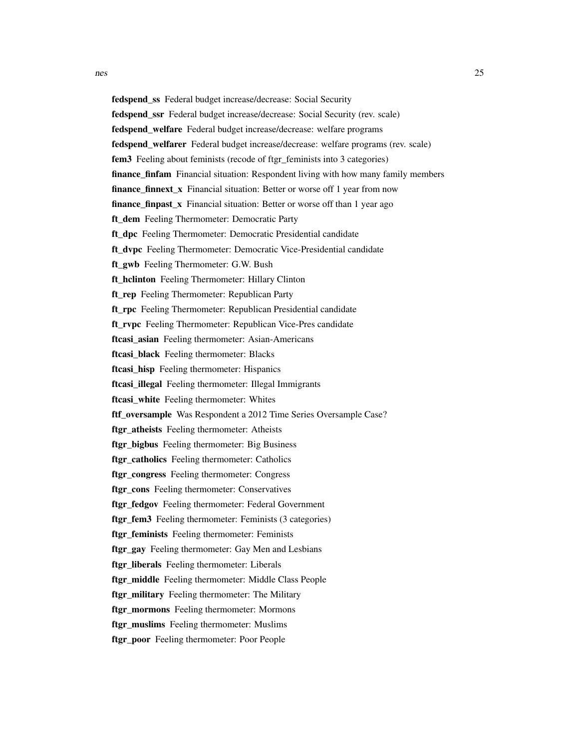nes 25 fedspend\_ssr Federal budget increase/decrease: Social Security (rev. scale)

fedspend welfare Federal budget increase/decrease: welfare programs

fedspend\_ss Federal budget increase/decrease: Social Security

fedspend\_welfarer Federal budget increase/decrease: welfare programs (rev. scale)

fem3 Feeling about feminists (recode of ftgr\_feminists into 3 categories)

**finance finfam** Financial situation: Respondent living with how many family members

**finance\_finnext\_x** Financial situation: Better or worse off 1 year from now

finance\_finpast\_x Financial situation: Better or worse off than 1 year ago

ft dem Feeling Thermometer: Democratic Party

ft\_dpc Feeling Thermometer: Democratic Presidential candidate

ft\_dvpc Feeling Thermometer: Democratic Vice-Presidential candidate

ft\_gwb Feeling Thermometer: G.W. Bush

ft\_hclinton Feeling Thermometer: Hillary Clinton

ft rep Feeling Thermometer: Republican Party

ft rpc Feeling Thermometer: Republican Presidential candidate

ft rvpc Feeling Thermometer: Republican Vice-Pres candidate

ftcasi asian Feeling thermometer: Asian-Americans

ftcasi\_black Feeling thermometer: Blacks

ftcasi\_hisp Feeling thermometer: Hispanics

ftcasi\_illegal Feeling thermometer: Illegal Immigrants

ftcasi\_white Feeling thermometer: Whites

ftf\_oversample Was Respondent a 2012 Time Series Oversample Case?

ftgr\_atheists Feeling thermometer: Atheists

ftgr\_bigbus Feeling thermometer: Big Business

ftgr\_catholics Feeling thermometer: Catholics

ftgr\_congress Feeling thermometer: Congress

ftgr\_cons Feeling thermometer: Conservatives

ftgr\_fedgov Feeling thermometer: Federal Government

ftgr\_fem3 Feeling thermometer: Feminists (3 categories)

ftgr\_feminists Feeling thermometer: Feminists

ftgr\_gay Feeling thermometer: Gay Men and Lesbians

ftgr\_liberals Feeling thermometer: Liberals

ftgr\_middle Feeling thermometer: Middle Class People

ftgr\_military Feeling thermometer: The Military

ftgr\_mormons Feeling thermometer: Mormons

ftgr\_muslims Feeling thermometer: Muslims

ftgr\_poor Feeling thermometer: Poor People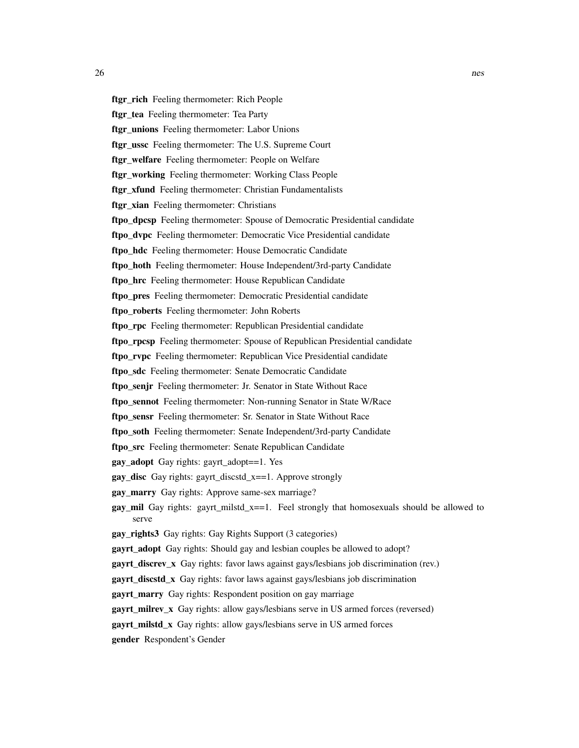ftgr\_rich Feeling thermometer: Rich People ftgr tea Feeling thermometer: Tea Party ftgr\_unions Feeling thermometer: Labor Unions ftgr\_ussc Feeling thermometer: The U.S. Supreme Court ftgr\_welfare Feeling thermometer: People on Welfare ftgr\_working Feeling thermometer: Working Class People ftgr\_xfund Feeling thermometer: Christian Fundamentalists ftgr\_xian Feeling thermometer: Christians ftpo dpcsp Feeling thermometer: Spouse of Democratic Presidential candidate ftpo dvpc Feeling thermometer: Democratic Vice Presidential candidate ftpo hdc Feeling thermometer: House Democratic Candidate ftpo\_hoth Feeling thermometer: House Independent/3rd-party Candidate ftpo\_hrc Feeling thermometer: House Republican Candidate ftpo\_pres Feeling thermometer: Democratic Presidential candidate ftpo\_roberts Feeling thermometer: John Roberts ftpo\_rpc Feeling thermometer: Republican Presidential candidate ftpo rpcsp Feeling thermometer: Spouse of Republican Presidential candidate ftpo rvpc Feeling thermometer: Republican Vice Presidential candidate ftpo sdc Feeling thermometer: Senate Democratic Candidate ftpo senjr Feeling thermometer: Jr. Senator in State Without Race ftpo\_sennot Feeling thermometer: Non-running Senator in State W/Race ftpo\_sensr Feeling thermometer: Sr. Senator in State Without Race

ftpo\_soth Feeling thermometer: Senate Independent/3rd-party Candidate

ftpo\_src Feeling thermometer: Senate Republican Candidate

gay\_adopt Gay rights: gayrt\_adopt==1. Yes

gay\_disc Gay rights: gayrt\_discstd\_x==1. Approve strongly

gay\_marry Gay rights: Approve same-sex marriage?

**gay\_mil** Gay rights: gayrt\_milstd\_x==1. Feel strongly that homosexuals should be allowed to serve

gay rights3 Gay rights: Gay Rights Support (3 categories)

gayrt\_adopt Gay rights: Should gay and lesbian couples be allowed to adopt?

gayrt\_discrev\_x Gay rights: favor laws against gays/lesbians job discrimination (rev.)

**gayrt** discstd x Gay rights: favor laws against gays/lesbians job discrimination

gayrt\_marry Gay rights: Respondent position on gay marriage

gayrt\_milrev\_x Gay rights: allow gays/lesbians serve in US armed forces (reversed)

gayrt milstd x Gay rights: allow gays/lesbians serve in US armed forces

gender Respondent's Gender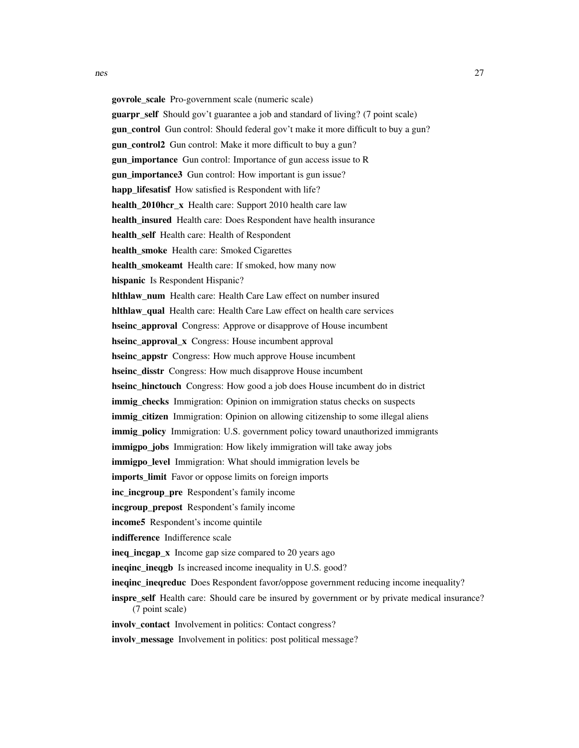govrole\_scale Pro-government scale (numeric scale) guarpr\_self Should gov't guarantee a job and standard of living? (7 point scale) **gun** control Gun control: Should federal gov't make it more difficult to buy a gun? gun\_control2 Gun control: Make it more difficult to buy a gun? gun importance Gun control: Importance of gun access issue to R gun importance3 Gun control: How important is gun issue? happ lifesatisf How satisfied is Respondent with life? health 2010hcr x Health care: Support 2010 health care law health insured Health care: Does Respondent have health insurance health self Health care: Health of Respondent health smoke Health care: Smoked Cigarettes health\_smokeamt Health care: If smoked, how many now hispanic Is Respondent Hispanic? hlthlaw\_num Health care: Health Care Law effect on number insured hlthlaw\_qual Health care: Health Care Law effect on health care services hseinc\_approval Congress: Approve or disapprove of House incumbent hseinc approval x Congress: House incumbent approval hseinc appstr Congress: How much approve House incumbent hseinc disstr Congress: How much disapprove House incumbent **hseinc** hinctouch Congress: How good a job does House incumbent do in district immig checks Immigration: Opinion on immigration status checks on suspects **immig** citizen Immigration: Opinion on allowing citizenship to some illegal aliens immig\_policy Immigration: U.S. government policy toward unauthorized immigrants immigpo\_jobs Immigration: How likely immigration will take away jobs immigpo\_level Immigration: What should immigration levels be imports\_limit Favor or oppose limits on foreign imports inc\_incgroup\_pre Respondent's family income incgroup\_prepost Respondent's family income income5 Respondent's income quintile indifference Indifference scale

ineq incgap x Income gap size compared to 20 years ago

inequinc ineqgb Is increased income inequality in U.S. good?

inequinc ineqreduc Does Respondent favor/oppose government reducing income inequality?

# inspre\_self Health care: Should care be insured by government or by private medical insurance? (7 point scale)

involv contact Involvement in politics: Contact congress?

involv\_message Involvement in politics: post political message?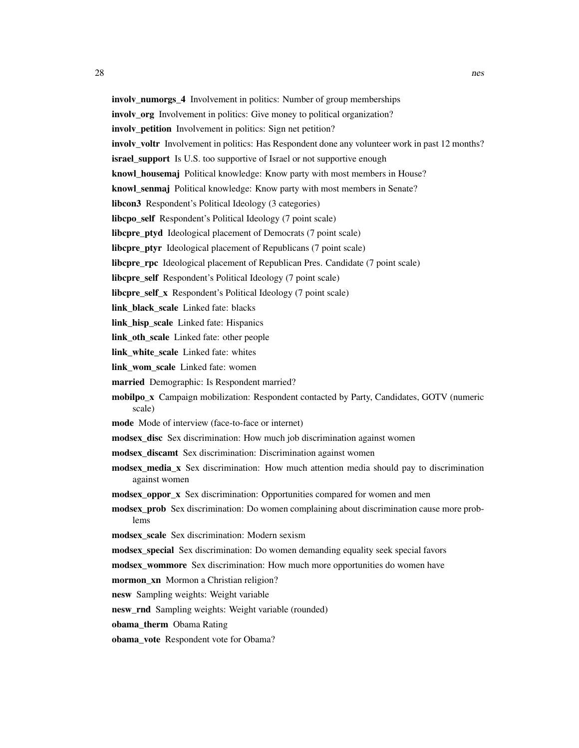- involv\_numorgs\_4 Involvement in politics: Number of group memberships
- involv\_org Involvement in politics: Give money to political organization?
- involv\_petition Involvement in politics: Sign net petition?
- involv\_voltr Involvement in politics: Has Respondent done any volunteer work in past 12 months?
- **israel\_support** Is U.S. too supportive of Israel or not supportive enough
- knowl\_housemaj Political knowledge: Know party with most members in House?
- knowl\_senmaj Political knowledge: Know party with most members in Senate?
- libcon3 Respondent's Political Ideology (3 categories)
- libcpo\_self Respondent's Political Ideology (7 point scale)
- libcpre\_ptyd Ideological placement of Democrats (7 point scale)
- libcpre\_ptyr Ideological placement of Republicans (7 point scale)
- libcpre\_rpc Ideological placement of Republican Pres. Candidate (7 point scale)
- libcpre\_self Respondent's Political Ideology (7 point scale)
- libcpre self x Respondent's Political Ideology (7 point scale)
- link black scale Linked fate: blacks
- link\_hisp\_scale Linked fate: Hispanics
- link\_oth\_scale Linked fate: other people
- link\_white\_scale Linked fate: whites
- link\_wom\_scale Linked fate: women
- married Demographic: Is Respondent married?
- mobilpo\_x Campaign mobilization: Respondent contacted by Party, Candidates, GOTV (numeric scale)
- mode Mode of interview (face-to-face or internet)
- modsex disc Sex discrimination: How much job discrimination against women
- modsex discamt Sex discrimination: Discrimination against women
- modsex\_media\_x Sex discrimination: How much attention media should pay to discrimination against women
- modsex\_oppor\_x Sex discrimination: Opportunities compared for women and men
- modsex\_prob Sex discrimination: Do women complaining about discrimination cause more problems
- modsex\_scale Sex discrimination: Modern sexism
- modsex\_special Sex discrimination: Do women demanding equality seek special favors
- modsex\_wommore Sex discrimination: How much more opportunities do women have
- mormon\_xn Mormon a Christian religion?
- nesw Sampling weights: Weight variable
- nesw rnd Sampling weights: Weight variable (rounded)
- obama therm Obama Rating
- obama\_vote Respondent vote for Obama?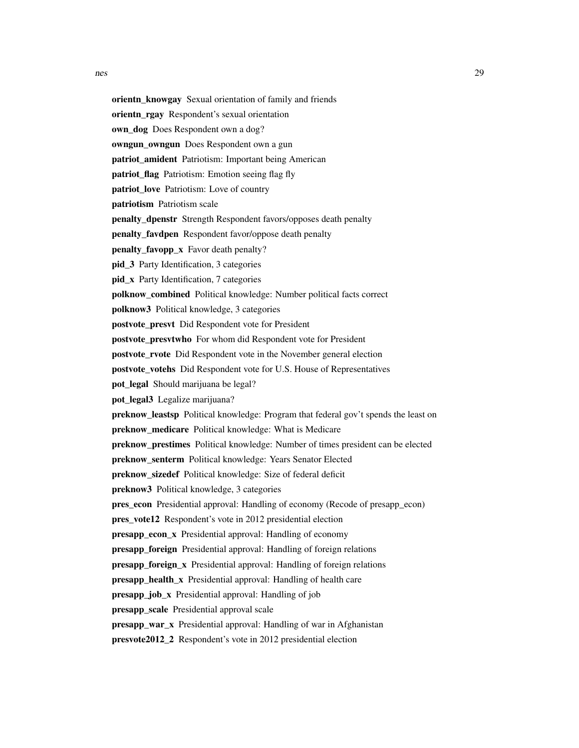orientn\_knowgay Sexual orientation of family and friends orientn\_rgay Respondent's sexual orientation own dog Does Respondent own a dog? owngun owngun Does Respondent own a gun patriot amident Patriotism: Important being American patriot flag Patriotism: Emotion seeing flag fly patriot\_love Patriotism: Love of country patriotism Patriotism scale penalty dpenstr Strength Respondent favors/opposes death penalty penalty\_favdpen Respondent favor/oppose death penalty penalty\_favopp\_x Favor death penalty? pid\_3 Party Identification, 3 categories pid\_x Party Identification, 7 categories polknow\_combined Political knowledge: Number political facts correct polknow3 Political knowledge, 3 categories postvote presvt Did Respondent vote for President postvote presvtwho For whom did Respondent vote for President postvote\_rvote Did Respondent vote in the November general election postvote\_votehs Did Respondent vote for U.S. House of Representatives pot\_legal Should marijuana be legal? pot\_legal3 Legalize marijuana? preknow\_leastsp Political knowledge: Program that federal gov't spends the least on preknow\_medicare Political knowledge: What is Medicare preknow\_prestimes Political knowledge: Number of times president can be elected preknow senterm Political knowledge: Years Senator Elected preknow sizedef Political knowledge: Size of federal deficit preknow3 Political knowledge, 3 categories pres\_econ Presidential approval: Handling of economy (Recode of presapp\_econ) pres\_vote12 Respondent's vote in 2012 presidential election presapp\_econ\_x Presidential approval: Handling of economy presapp\_foreign Presidential approval: Handling of foreign relations presapp\_foreign\_x Presidential approval: Handling of foreign relations presapp\_health\_x Presidential approval: Handling of health care presapp\_job\_x Presidential approval: Handling of job presapp\_scale Presidential approval scale presapp war x Presidential approval: Handling of war in Afghanistan presvote2012\_2 Respondent's vote in 2012 presidential election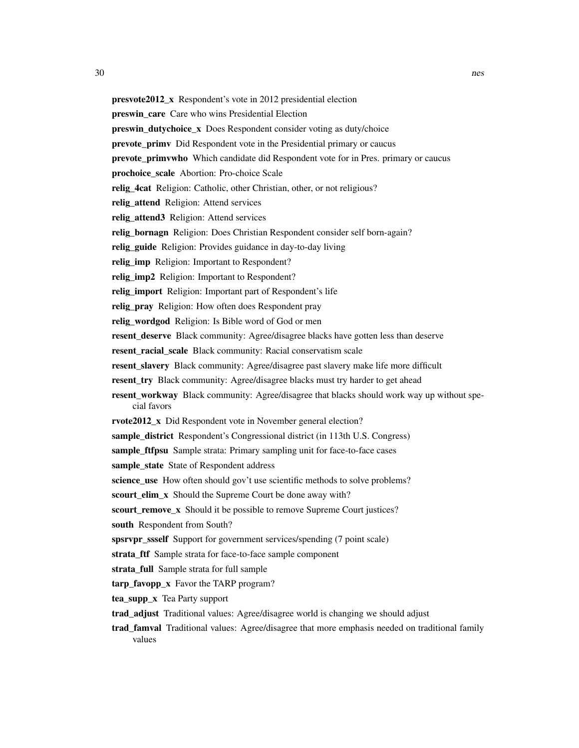| <b>presvote2012_x</b> Respondent's vote in 2012 presidential election |  |  |  |  |
|-----------------------------------------------------------------------|--|--|--|--|
|-----------------------------------------------------------------------|--|--|--|--|

preswin\_care Care who wins Presidential Election

preswin\_dutychoice\_x Does Respondent consider voting as duty/choice

- prevote\_primv Did Respondent vote in the Presidential primary or caucus
- **prevote primvwho** Which candidate did Respondent vote for in Pres. primary or caucus

prochoice scale Abortion: Pro-choice Scale

relig\_4cat Religion: Catholic, other Christian, other, or not religious?

relig\_attend Religion: Attend services

relig\_attend3 Religion: Attend services

relig\_bornagn Religion: Does Christian Respondent consider self born-again?

relig\_guide Religion: Provides guidance in day-to-day living

relig imp Religion: Important to Respondent?

relig imp2 Religion: Important to Respondent?

relig\_import Religion: Important part of Respondent's life

relig\_pray Religion: How often does Respondent pray

relig\_wordgod Religion: Is Bible word of God or men

resent\_deserve Black community: Agree/disagree blacks have gotten less than deserve

resent\_racial\_scale Black community: Racial conservatism scale

resent\_slavery Black community: Agree/disagree past slavery make life more difficult

resent try Black community: Agree/disagree blacks must try harder to get ahead

- resent\_workway Black community: Agree/disagree that blacks should work way up without special favors
- rvote2012\_x Did Respondent vote in November general election?

sample\_district Respondent's Congressional district (in 113th U.S. Congress)

sample\_ftfpsu Sample strata: Primary sampling unit for face-to-face cases

sample\_state State of Respondent address

science\_use How often should gov't use scientific methods to solve problems?

scourt elim x Should the Supreme Court be done away with?

```
scourt_remove_x Should it be possible to remove Supreme Court justices?
```
south Respondent from South?

spsrvpr\_ssself Support for government services/spending (7 point scale)

strata\_ftf Sample strata for face-to-face sample component

strata\_full Sample strata for full sample

tarp\_favopp\_x Favor the TARP program?

tea\_supp\_x Tea Party support

trad\_adjust Traditional values: Agree/disagree world is changing we should adjust

trad\_famval Traditional values: Agree/disagree that more emphasis needed on traditional family values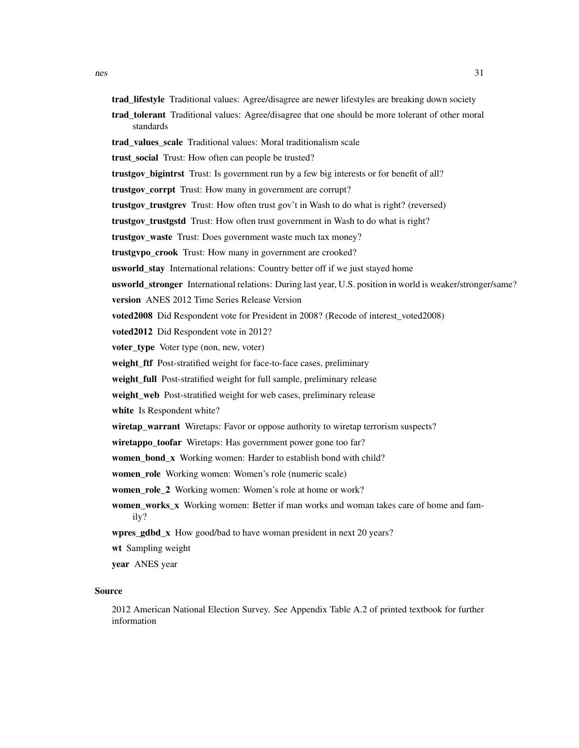- trad\_lifestyle Traditional values: Agree/disagree are newer lifestyles are breaking down society
- trad\_tolerant Traditional values: Agree/disagree that one should be more tolerant of other moral standards
- trad\_values\_scale Traditional values: Moral traditionalism scale
- trust\_social Trust: How often can people be trusted?
- trustgov\_bigintrst Trust: Is government run by a few big interests or for benefit of all?
- trustgov corrpt Trust: How many in government are corrupt?
- trustgov\_trustgrev Trust: How often trust gov't in Wash to do what is right? (reversed)
- trustgov\_trustgstd Trust: How often trust government in Wash to do what is right?
- trustgov waste Trust: Does government waste much tax money?
- trustgvpo\_crook Trust: How many in government are crooked?
- usworld\_stay International relations: Country better off if we just stayed home
- usworld\_stronger International relations: During last year, U.S. position in world is weaker/stronger/same?
- version ANES 2012 Time Series Release Version
- voted2008 Did Respondent vote for President in 2008? (Recode of interest\_voted2008)
- voted2012 Did Respondent vote in 2012?
- voter\_type Voter type (non, new, voter)
- weight\_ftf Post-stratified weight for face-to-face cases, preliminary
- weight\_full Post-stratified weight for full sample, preliminary release
- weight\_web Post-stratified weight for web cases, preliminary release
- white Is Respondent white?
- wiretap\_warrant Wiretaps: Favor or oppose authority to wiretap terrorism suspects?
- wiretappo\_toofar Wiretaps: Has government power gone too far?
- women bond x Working women: Harder to establish bond with child?
- women role Working women: Women's role (numeric scale)
- women\_role\_2 Working women: Women's role at home or work?
- women works x Working women: Better if man works and woman takes care of home and family?
- wpres\_gdbd\_x How good/bad to have woman president in next 20 years?
- wt Sampling weight
- year ANES year

#### Source

2012 American National Election Survey. See Appendix Table A.2 of printed textbook for further information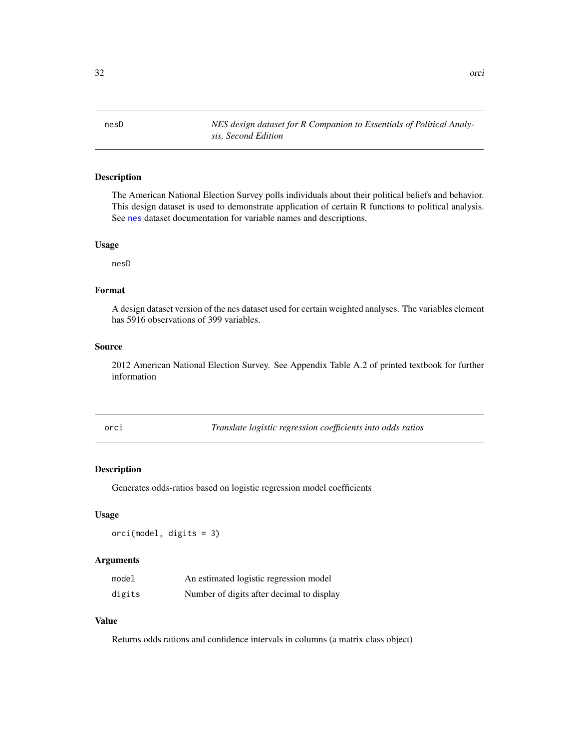<span id="page-31-0"></span>nesD *NES design dataset for R Companion to Essentials of Political Analysis, Second Edition*

# Description

The American National Election Survey polls individuals about their political beliefs and behavior. This design dataset is used to demonstrate application of certain R functions to political analysis. See [nes](#page-19-1) dataset documentation for variable names and descriptions.

#### Usage

nesD

# Format

A design dataset version of the nes dataset used for certain weighted analyses. The variables element has 5916 observations of 399 variables.

#### Source

2012 American National Election Survey. See Appendix Table A.2 of printed textbook for further information

| ٠ | ٦<br>$\sim$ |  |
|---|-------------|--|

**Translate logistic regression coefficients into odds ratios** 

#### Description

Generates odds-ratios based on logistic regression model coefficients

#### Usage

orci(model, digits = 3)

#### Arguments

| model  | An estimated logistic regression model    |
|--------|-------------------------------------------|
| digits | Number of digits after decimal to display |

#### Value

Returns odds rations and confidence intervals in columns (a matrix class object)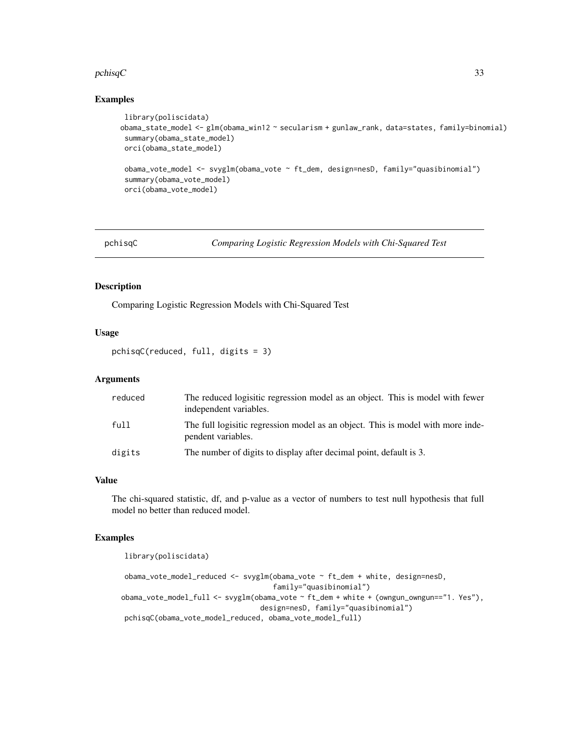#### <span id="page-32-0"></span> $pchisqC$  33

# Examples

```
library(poliscidata)
obama_state_model <- glm(obama_win12 ~ secularism + gunlaw_rank, data=states, family=binomial)
 summary(obama_state_model)
 orci(obama_state_model)
 obama_vote_model <- svyglm(obama_vote ~ ft_dem, design=nesD, family="quasibinomial")
 summary(obama_vote_model)
 orci(obama_vote_model)
```
pchisqC *Comparing Logistic Regression Models with Chi-Squared Test*

# Description

Comparing Logistic Regression Models with Chi-Squared Test

# Usage

pchisqC(reduced, full, digits = 3)

# Arguments

| reduced | The reduced logisitic regression model as an object. This is model with fewer<br>independent variables. |
|---------|---------------------------------------------------------------------------------------------------------|
| full    | The full logistic regression model as an object. This is model with more inde-<br>pendent variables.    |
| digits  | The number of digits to display after decimal point, default is 3.                                      |

# Value

The chi-squared statistic, df, and p-value as a vector of numbers to test null hypothesis that full model no better than reduced model.

#### Examples

library(poliscidata)

obama\_vote\_model\_reduced <- svyglm(obama\_vote ~ ft\_dem + white, design=nesD, family="quasibinomial") obama\_vote\_model\_full <- svyglm(obama\_vote ~ ft\_dem + white + (owngun\_owngun=="1. Yes"), design=nesD, family="quasibinomial") pchisqC(obama\_vote\_model\_reduced, obama\_vote\_model\_full)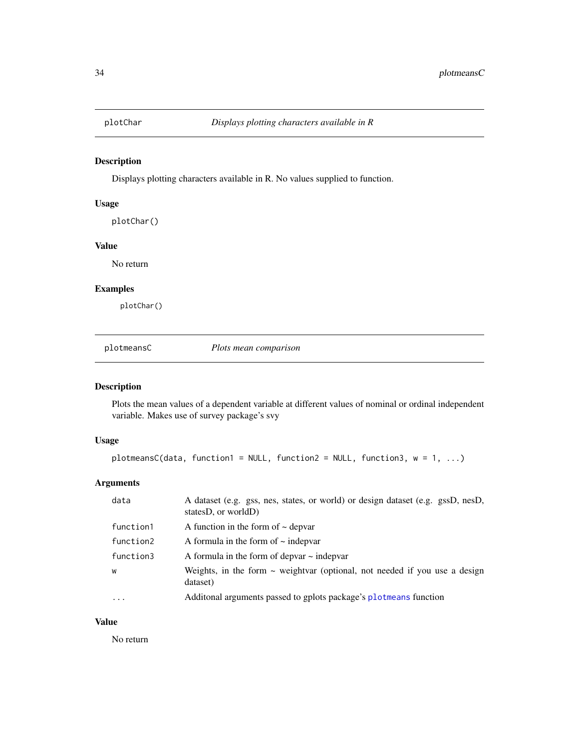<span id="page-33-0"></span>

Displays plotting characters available in R. No values supplied to function.

#### Usage

plotChar()

# Value

No return

#### Examples

plotChar()

plotmeansC *Plots mean comparison*

#### Description

Plots the mean values of a dependent variable at different values of nominal or ordinal independent variable. Makes use of survey package's svy

# Usage

```
plotmeansC(data, function1 = NULL, function2 = NULL, function3, w = 1, ...)
```
# Arguments

| data      | A dataset (e.g. gss, nes, states, or world) or design dataset (e.g. gssD, nesD,<br>states $D$ , or world $D$ |
|-----------|--------------------------------------------------------------------------------------------------------------|
| function1 | A function in the form of $\sim$ depvar                                                                      |
| function2 | A formula in the form of $\sim$ indepvar                                                                     |
| function3 | A formula in the form of depvar $\sim$ indepvar                                                              |
| W         | Weights, in the form $\sim$ weightvar (optional, not needed if you use a design<br>dataset)                  |
| $\ddotsc$ | Additonal arguments passed to gplots package's plotmeans function                                            |

# Value

No return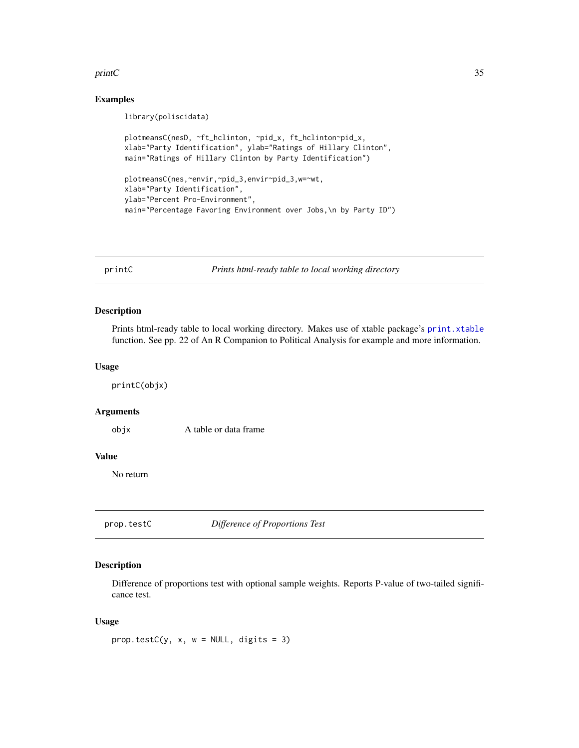#### <span id="page-34-0"></span> $printC$  35

#### Examples

library(poliscidata)

```
plotmeansC(nesD, ~ft_hclinton, ~pid_x, ft_hclinton~pid_x,
xlab="Party Identification", ylab="Ratings of Hillary Clinton",
main="Ratings of Hillary Clinton by Party Identification")
plotmeansC(nes,~envir,~pid_3,envir~pid_3,w=~wt,
xlab="Party Identification",
ylab="Percent Pro-Environment",
main="Percentage Favoring Environment over Jobs,\n by Party ID")
```
printC *Prints html-ready table to local working directory*

#### Description

Prints html-ready table to local working directory. Makes use of xtable package's [print.xtable](#page-0-0) function. See pp. 22 of An R Companion to Political Analysis for example and more information.

#### Usage

printC(objx)

#### Arguments

objx A table or data frame

#### Value

No return

prop.testC *Difference of Proportions Test*

#### Description

Difference of proportions test with optional sample weights. Reports P-value of two-tailed significance test.

#### Usage

prop.testC(y, x,  $w = NULL$ , digits = 3)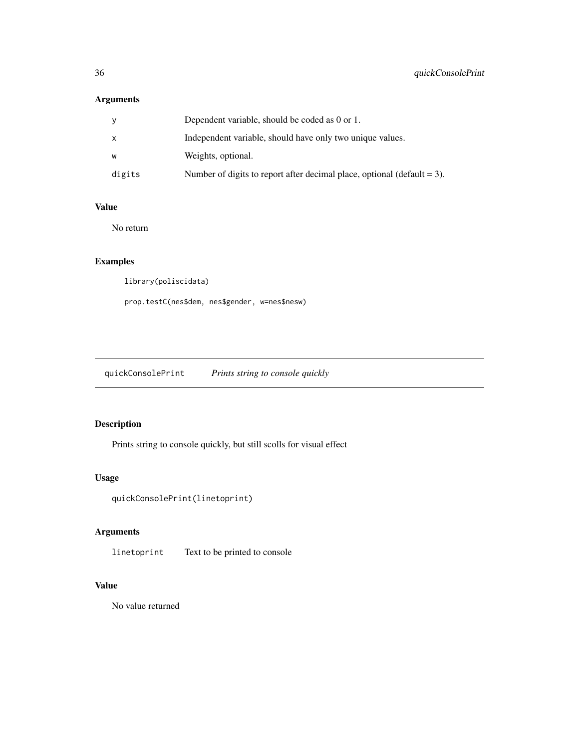# <span id="page-35-0"></span>Arguments

| ٧      | Dependent variable, should be coded as 0 or 1.                             |
|--------|----------------------------------------------------------------------------|
| x      | Independent variable, should have only two unique values.                  |
| w      | Weights, optional.                                                         |
| digits | Number of digits to report after decimal place, optional (default $= 3$ ). |

# Value

No return

# Examples

library(poliscidata)

prop.testC(nes\$dem, nes\$gender, w=nes\$nesw)

quickConsolePrint *Prints string to console quickly*

# Description

Prints string to console quickly, but still scolls for visual effect

# Usage

```
quickConsolePrint(linetoprint)
```
# Arguments

linetoprint Text to be printed to console

# Value

No value returned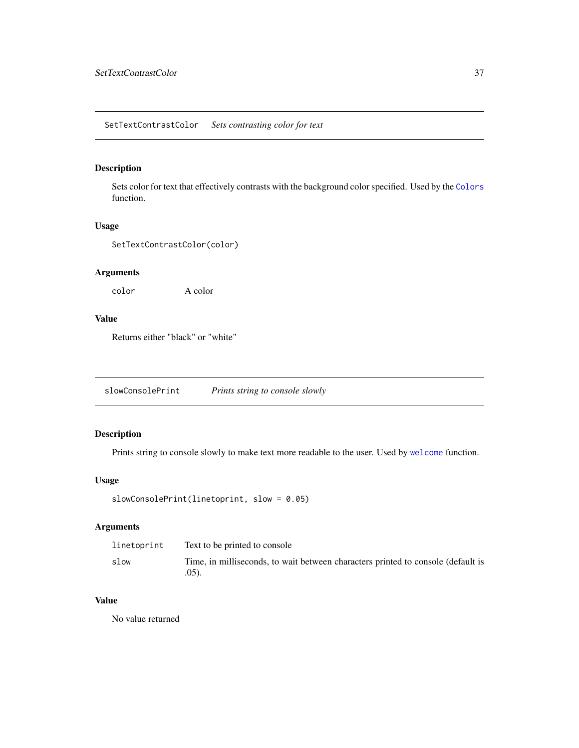<span id="page-36-0"></span>Sets color for text that effectively contrasts with the background color specified. Used by the [Colors](#page-6-1) function.

#### Usage

SetTextContrastColor(color)

# Arguments

color A color

# Value

Returns either "black" or "white"

slowConsolePrint *Prints string to console slowly*

# Description

Prints string to console slowly to make text more readable to the user. Used by [welcome](#page-44-2) function.

# Usage

```
slowConsolePrint(linetoprint, slow = 0.05)
```
# Arguments

| linetoprint | Text to be printed to console                                                                |
|-------------|----------------------------------------------------------------------------------------------|
| slow        | Time, in milliseconds, to wait between characters printed to console (default is<br>$.05$ ). |

#### Value

No value returned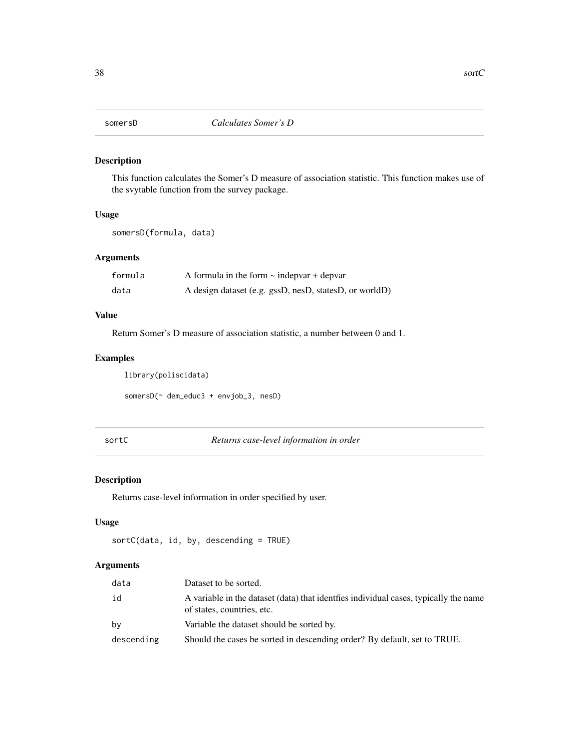<span id="page-37-1"></span><span id="page-37-0"></span>

This function calculates the Somer's D measure of association statistic. This function makes use of the svytable function from the survey package.

#### Usage

somersD(formula, data)

# Arguments

| formula | A formula in the form $\sim$ indepvar + depvar         |
|---------|--------------------------------------------------------|
| data    | A design dataset (e.g. gssD, nesD, statesD, or worldD) |

# Value

Return Somer's D measure of association statistic, a number between 0 and 1.

# Examples

library(poliscidata)

```
somersD(~ dem_educ3 + envjob_3, nesD)
```
sortC *Returns case-level information in order*

# Description

Returns case-level information in order specified by user.

#### Usage

```
sortC(data, id, by, descending = TRUE)
```
# Arguments

| data       | Dataset to be sorted.                                                                                               |
|------------|---------------------------------------------------------------------------------------------------------------------|
| id         | A variable in the dataset (data) that identifies individual cases, typically the name<br>of states, countries, etc. |
| by         | Variable the dataset should be sorted by.                                                                           |
| descending | Should the cases be sorted in descending order? By default, set to TRUE.                                            |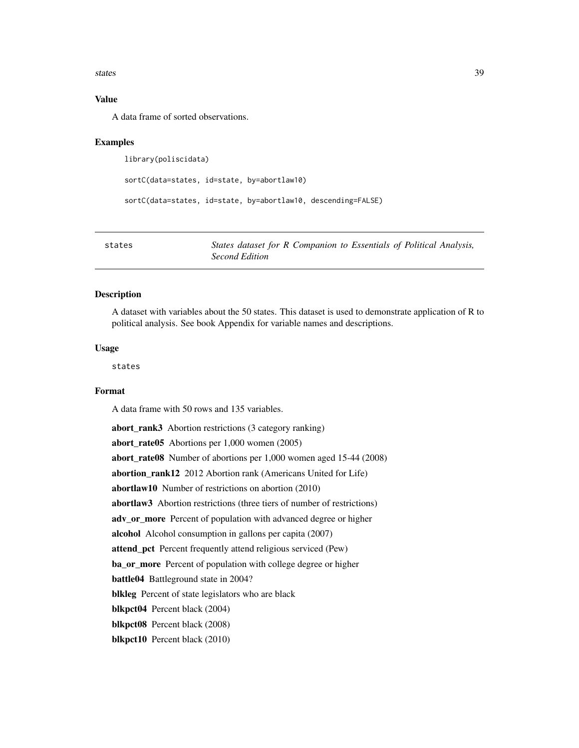<span id="page-38-0"></span>states 39

# Value

A data frame of sorted observations.

#### Examples

library(poliscidata)

```
sortC(data=states, id=state, by=abortlaw10)
```
sortC(data=states, id=state, by=abortlaw10, descending=FALSE)

<span id="page-38-1"></span>

| states | States dataset for R Companion to Essentials of Political Analysis, |
|--------|---------------------------------------------------------------------|
|        | Second Edition                                                      |

#### Description

A dataset with variables about the 50 states. This dataset is used to demonstrate application of R to political analysis. See book Appendix for variable names and descriptions.

# Usage

states

#### Format

A data frame with 50 rows and 135 variables.

abort\_rank3 Abortion restrictions (3 category ranking) abort rate $05$  Abortions per 1,000 women (2005) abort\_rate08 Number of abortions per 1,000 women aged 15-44 (2008) abortion\_rank12 2012 Abortion rank (Americans United for Life) abortlaw10 Number of restrictions on abortion (2010) abortlaw3 Abortion restrictions (three tiers of number of restrictions) adv\_or\_more Percent of population with advanced degree or higher alcohol Alcohol consumption in gallons per capita (2007) attend\_pct Percent frequently attend religious serviced (Pew) ba\_or\_more Percent of population with college degree or higher battle04 Battleground state in 2004? blkleg Percent of state legislators who are black blkpct04 Percent black (2004) blkpct08 Percent black (2008) blkpct10 Percent black (2010)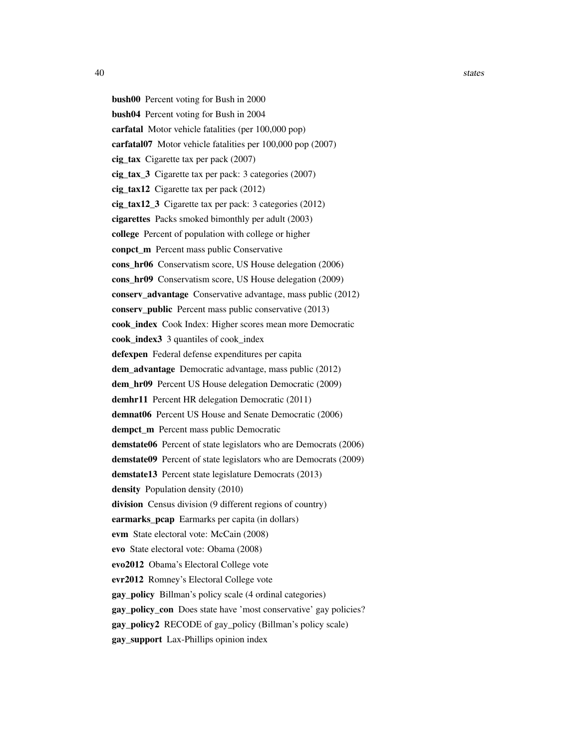bush00 Percent voting for Bush in 2000 bush04 Percent voting for Bush in 2004 carfatal Motor vehicle fatalities (per 100,000 pop) carfatal07 Motor vehicle fatalities per 100,000 pop (2007) cig tax Cigarette tax per pack  $(2007)$ cig\_tax\_3 Cigarette tax per pack: 3 categories (2007) cig\_tax12 Cigarette tax per pack (2012) cig\_tax12\_3 Cigarette tax per pack: 3 categories (2012) cigarettes Packs smoked bimonthly per adult (2003) college Percent of population with college or higher conpct\_m Percent mass public Conservative cons\_hr06 Conservatism score, US House delegation (2006) cons\_hr09 Conservatism score, US House delegation (2009) conserv advantage Conservative advantage, mass public (2012) conserv public Percent mass public conservative (2013) cook\_index Cook Index: Higher scores mean more Democratic cook index3 3 quantiles of cook index defexpen Federal defense expenditures per capita dem advantage Democratic advantage, mass public (2012) dem\_hr09 Percent US House delegation Democratic (2009) demhr11 Percent HR delegation Democratic (2011) demnat06 Percent US House and Senate Democratic (2006) dempct\_m Percent mass public Democratic demstate06 Percent of state legislators who are Democrats (2006) demstate09 Percent of state legislators who are Democrats (2009) demstate13 Percent state legislature Democrats (2013) density Population density (2010) division Census division (9 different regions of country) earmarks\_pcap Earmarks per capita (in dollars) evm State electoral vote: McCain (2008) evo State electoral vote: Obama (2008) evo2012 Obama's Electoral College vote evr2012 Romney's Electoral College vote gay\_policy Billman's policy scale (4 ordinal categories) gay\_policy\_con Does state have 'most conservative' gay policies? gay\_policy2 RECODE of gay\_policy (Billman's policy scale) gay\_support Lax-Phillips opinion index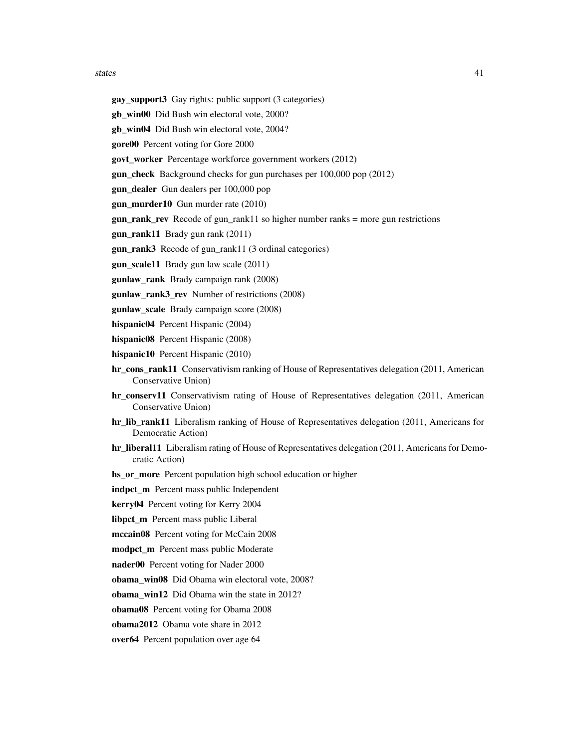#### states and the states and the states are states and the states and the states and the states are  $41$

- gay\_support3 Gay rights: public support (3 categories)
- gb\_win00 Did Bush win electoral vote, 2000?
- gb\_win04 Did Bush win electoral vote, 2004?
- gore00 Percent voting for Gore 2000
- govt\_worker Percentage workforce government workers (2012)
- gun check Background checks for gun purchases per 100,000 pop (2012)
- gun\_dealer Gun dealers per 100,000 pop
- gun\_murder10 Gun murder rate (2010)
- gun rank rev Recode of gun rank11 so higher number ranks = more gun restrictions
- gun\_rank11 Brady gun rank (2011)
- gun\_rank3 Recode of gun\_rank11 (3 ordinal categories)
- gun\_scale11 Brady gun law scale (2011)
- gunlaw\_rank Brady campaign rank (2008)
- gunlaw rank3 rev Number of restrictions (2008)
- gunlaw scale Brady campaign score (2008)
- hispanic04 Percent Hispanic (2004)
- hispanic08 Percent Hispanic (2008)
- hispanic10 Percent Hispanic (2010)
- hr\_cons\_rank11 Conservativism ranking of House of Representatives delegation (2011, American Conservative Union)
- hr conserv11 Conservativism rating of House of Representatives delegation (2011, American Conservative Union)
- hr\_lib\_rank11 Liberalism ranking of House of Representatives delegation (2011, Americans for Democratic Action)
- hr\_liberal11 Liberalism rating of House of Representatives delegation (2011, Americans for Democratic Action)
- hs\_or\_more Percent population high school education or higher
- indpct\_m Percent mass public Independent
- kerry04 Percent voting for Kerry 2004
- libpct\_m Percent mass public Liberal
- mccain08 Percent voting for McCain 2008
- modpct\_m Percent mass public Moderate
- nader00 Percent voting for Nader 2000
- obama\_win08 Did Obama win electoral vote, 2008?

obama\_win12 Did Obama win the state in 2012?

- obama08 Percent voting for Obama 2008
- obama2012 Obama vote share in 2012
- over64 Percent population over age 64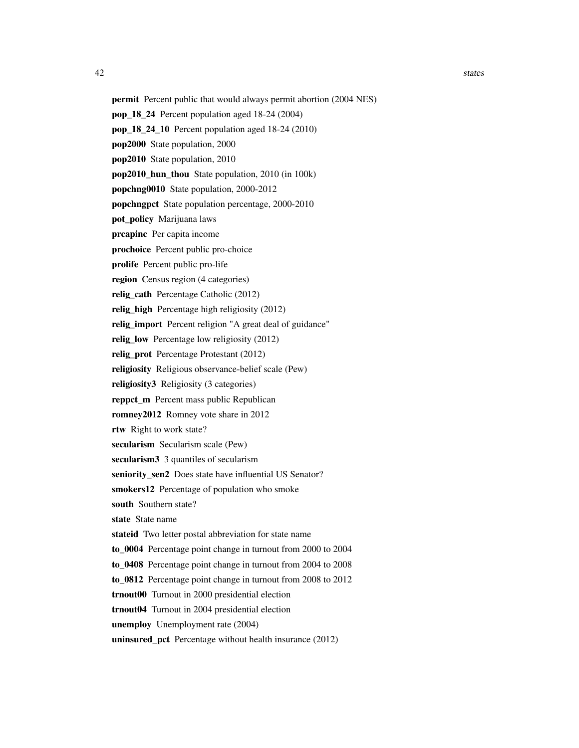- permit Percent public that would always permit abortion (2004 NES)
- pop\_18\_24 Percent population aged 18-24 (2004)
- pop\_18\_24\_10 Percent population aged 18-24 (2010)
- pop2000 State population, 2000
- pop2010 State population, 2010
- pop2010\_hun\_thou State population, 2010 (in 100k)
- popchng0010 State population, 2000-2012
- popchngpct State population percentage, 2000-2010
- pot\_policy Marijuana laws
- prcapinc Per capita income
- prochoice Percent public pro-choice
- prolife Percent public pro-life
- region Census region (4 categories)
- relig cath Percentage Catholic (2012)
- relig high Percentage high religiosity (2012)
- relig import Percent religion "A great deal of guidance"
- relig\_low Percentage low religiosity (2012)
- relig\_prot Percentage Protestant (2012)
- religiosity Religious observance-belief scale (Pew)
- religiosity3 Religiosity (3 categories)
- reppct\_m Percent mass public Republican
- romney2012 Romney vote share in 2012
- rtw Right to work state?
- secularism Secularism scale (Pew)
- secularism3 3 quantiles of secularism
- seniority sen2 Does state have influential US Senator?
- smokers12 Percentage of population who smoke
- south Southern state?
- state State name
- stateid Two letter postal abbreviation for state name
- to\_0004 Percentage point change in turnout from 2000 to 2004
- to\_0408 Percentage point change in turnout from 2004 to 2008
- to\_0812 Percentage point change in turnout from 2008 to 2012
- trnout00 Turnout in 2000 presidential election
- trnout04 Turnout in 2004 presidential election
- unemploy Unemployment rate (2004)
- uninsured\_pct Percentage without health insurance (2012)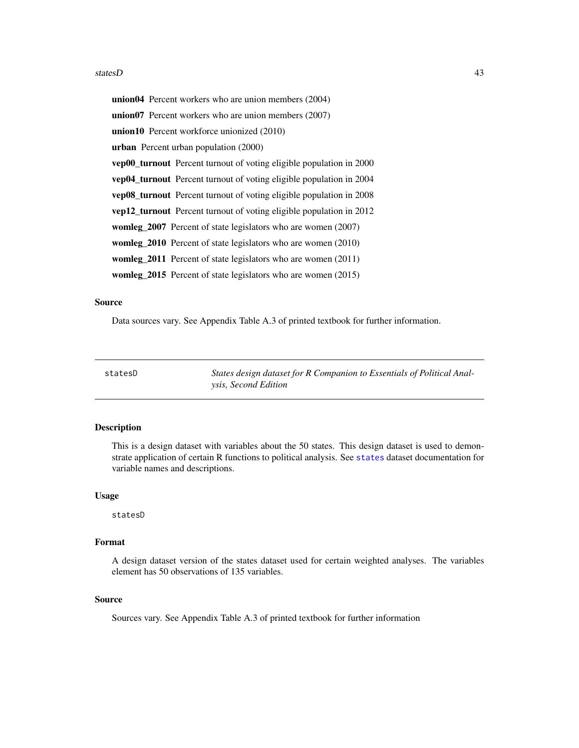#### <span id="page-42-0"></span>statesD 43

union04 Percent workers who are union members (2004) union07 Percent workers who are union members (2007) union10 Percent workforce unionized (2010) urban Percent urban population (2000) vep00\_turnout Percent turnout of voting eligible population in 2000 vep04\_turnout Percent turnout of voting eligible population in 2004 vep08\_turnout Percent turnout of voting eligible population in 2008 vep12\_turnout Percent turnout of voting eligible population in 2012 womleg\_2007 Percent of state legislators who are women (2007) womleg\_2010 Percent of state legislators who are women (2010) womleg\_2011 Percent of state legislators who are women (2011) womleg\_2015 Percent of state legislators who are women (2015)

#### Source

Data sources vary. See Appendix Table A.3 of printed textbook for further information.

statesD *States design dataset for R Companion to Essentials of Political Analysis, Second Edition*

#### Description

This is a design dataset with variables about the 50 states. This design dataset is used to demonstrate application of certain R functions to political analysis. See [states](#page-38-1) dataset documentation for variable names and descriptions.

#### Usage

statesD

#### Format

A design dataset version of the states dataset used for certain weighted analyses. The variables element has 50 observations of 135 variables.

#### Source

Sources vary. See Appendix Table A.3 of printed textbook for further information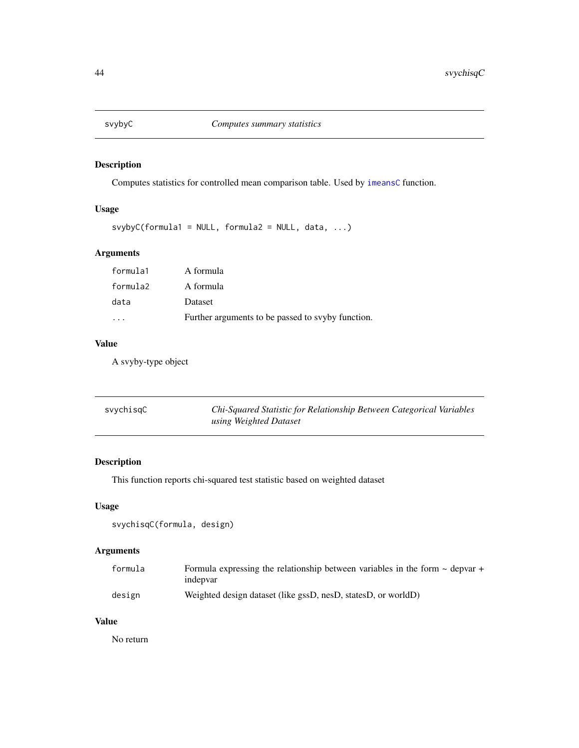<span id="page-43-0"></span>

Computes statistics for controlled mean comparison table. Used by [imeansC](#page-16-1) function.

# Usage

 $svybyC(formula1 = NULL, formula2 = NULL, data, ...)$ 

# Arguments

| formula1 | A formula                                         |
|----------|---------------------------------------------------|
| formula2 | A formula                                         |
| data     | Dataset                                           |
| .        | Further arguments to be passed to svyby function. |

# Value

A svyby-type object

| svychisgC | Chi-Squared Statistic for Relationship Between Categorical Variables |
|-----------|----------------------------------------------------------------------|
|           | using Weighted Dataset                                               |

# Description

This function reports chi-squared test statistic based on weighted dataset

# Usage

```
svychisqC(formula, design)
```
# Arguments

| formula | Formula expressing the relationship between variables in the form $\sim$ depvar + |
|---------|-----------------------------------------------------------------------------------|
|         | indepvar                                                                          |
| design  | Weighted design dataset (like gssD, nesD, statesD, or worldD)                     |

# Value

No return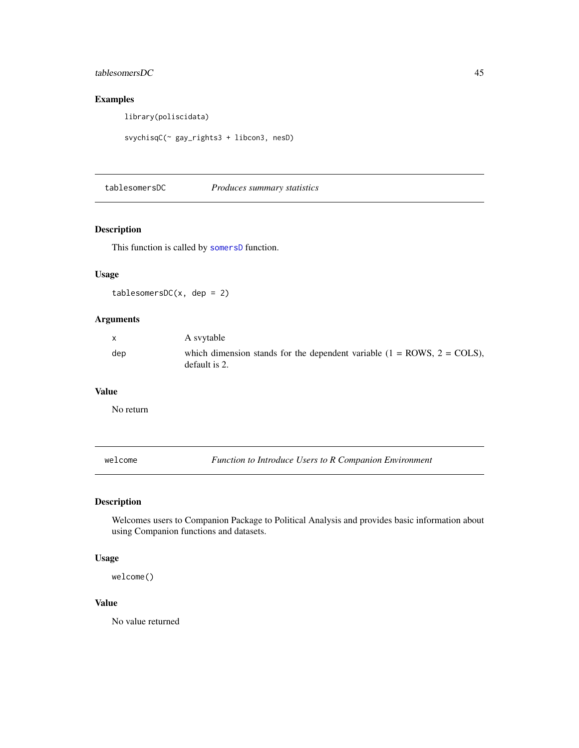# <span id="page-44-0"></span>tablesomersDC 45

# Examples

library(poliscidata)

svychisqC(~ gay\_rights3 + libcon3, nesD)

<span id="page-44-1"></span>tablesomersDC *Produces summary statistics*

# Description

This function is called by [somersD](#page-37-1) function.

# Usage

 $tablesomersDC(x, dep = 2)$ 

# Arguments

| $\mathsf{X}$ | A syytable                                                                                                |
|--------------|-----------------------------------------------------------------------------------------------------------|
| dep          | which dimension stands for the dependent variable $(1 = \text{ROWS}, 2 = \text{COLS})$ ,<br>default is 2. |

#### Value

No return

<span id="page-44-2"></span>welcome *Function to Introduce Users to R Companion Environment*

# Description

Welcomes users to Companion Package to Political Analysis and provides basic information about using Companion functions and datasets.

#### Usage

welcome()

#### Value

No value returned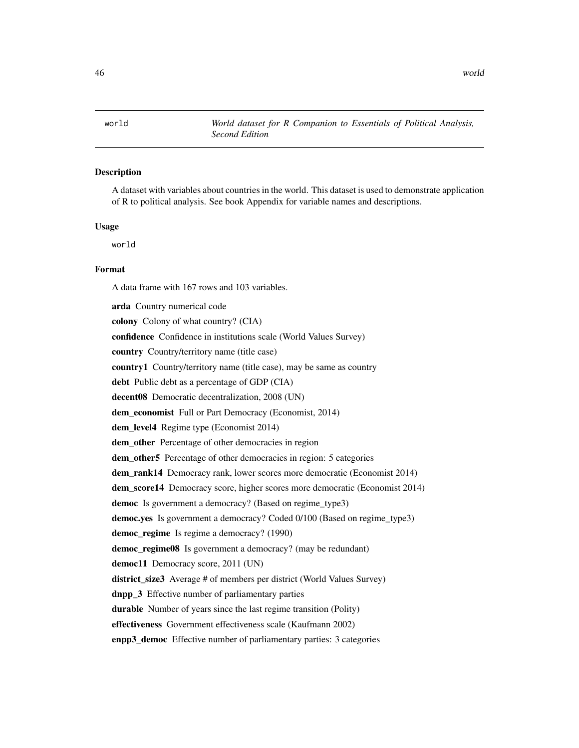<span id="page-45-1"></span><span id="page-45-0"></span>

A dataset with variables about countries in the world. This dataset is used to demonstrate application of R to political analysis. See book Appendix for variable names and descriptions.

#### Usage

world

# Format

A data frame with 167 rows and 103 variables.

arda Country numerical code colony Colony of what country? (CIA) confidence Confidence in institutions scale (World Values Survey) country Country/territory name (title case) country1 Country/territory name (title case), may be same as country debt Public debt as a percentage of GDP (CIA) decent08 Democratic decentralization, 2008 (UN) dem\_economist Full or Part Democracy (Economist, 2014) dem\_level4 Regime type (Economist 2014) dem other Percentage of other democracies in region dem\_other5 Percentage of other democracies in region: 5 categories dem\_rank14 Democracy rank, lower scores more democratic (Economist 2014) dem\_score14 Democracy score, higher scores more democratic (Economist 2014) democ Is government a democracy? (Based on regime\_type3) democ.yes Is government a democracy? Coded 0/100 (Based on regime\_type3) democ\_regime Is regime a democracy? (1990) democ\_regime08 Is government a democracy? (may be redundant) democ11 Democracy score, 2011 (UN) district\_size3 Average # of members per district (World Values Survey) dnpp\_3 Effective number of parliamentary parties durable Number of years since the last regime transition (Polity) effectiveness Government effectiveness scale (Kaufmann 2002) enpp3\_democ Effective number of parliamentary parties: 3 categories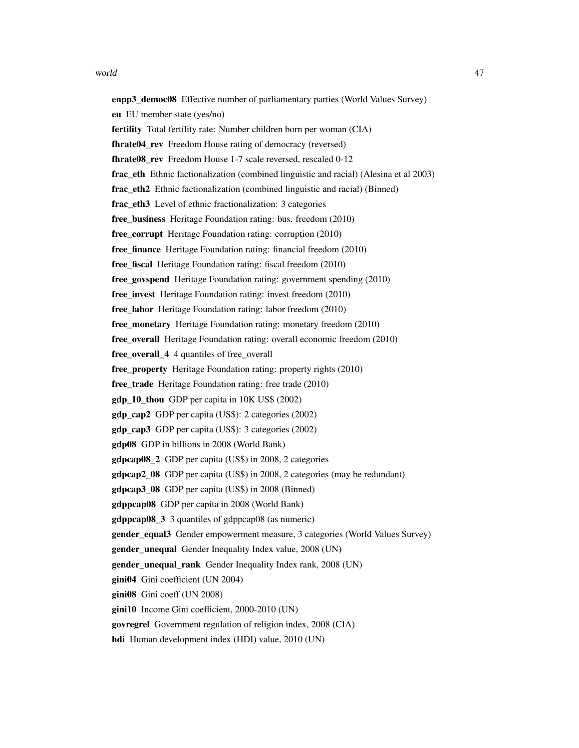#### world the contract of the contract of the contract of the contract of the contract of the contract of the contract of the contract of the contract of the contract of the contract of the contract of the contract of the cont

enpp3\_democ08 Effective number of parliamentary parties (World Values Survey) eu EU member state (yes/no) fertility Total fertility rate: Number children born per woman (CIA) fhrate04 rev Freedom House rating of democracy (reversed) **fhrate08 rev** Freedom House 1-7 scale reversed, rescaled 0-12 frac eth Ethnic factionalization (combined linguistic and racial) (Alesina et al 2003) frac\_eth2 Ethnic factionalization (combined linguistic and racial) (Binned) frac eth3 Level of ethnic fractionalization: 3 categories free business Heritage Foundation rating: bus. freedom (2010) free\_corrupt Heritage Foundation rating: corruption (2010) free\_finance Heritage Foundation rating: financial freedom (2010) free\_fiscal Heritage Foundation rating: fiscal freedom (2010) free\_govspend Heritage Foundation rating: government spending (2010) free invest Heritage Foundation rating: invest freedom (2010) free labor Heritage Foundation rating: labor freedom (2010) free monetary Heritage Foundation rating: monetary freedom (2010) free overall Heritage Foundation rating: overall economic freedom (2010) free\_overall\_4 4 quantiles of free\_overall free\_property Heritage Foundation rating: property rights (2010) free\_trade Heritage Foundation rating: free trade (2010) gdp\_10\_thou GDP per capita in 10K US\$ (2002) gdp\_cap2 GDP per capita (US\$): 2 categories (2002) gdp\_cap3 GDP per capita (US\$): 3 categories (2002) gdp08 GDP in billions in 2008 (World Bank) gdpcap08\_2 GDP per capita (US\$) in 2008, 2 categories **gdpcap2** 08 GDP per capita (US\$) in 2008, 2 categories (may be redundant) gdpcap3 08 GDP per capita (US\$) in 2008 (Binned) gdppcap08 GDP per capita in 2008 (World Bank) gdppcap08\_3 3 quantiles of gdppcap08 (as numeric) gender\_equal3 Gender empowerment measure, 3 categories (World Values Survey) gender\_unequal Gender Inequality Index value, 2008 (UN) gender\_unequal\_rank Gender Inequality Index rank, 2008 (UN) gini04 Gini coefficient (UN 2004) gini08 Gini coeff (UN 2008) gini10 Income Gini coefficient, 2000-2010 (UN) govregrel Government regulation of religion index, 2008 (CIA)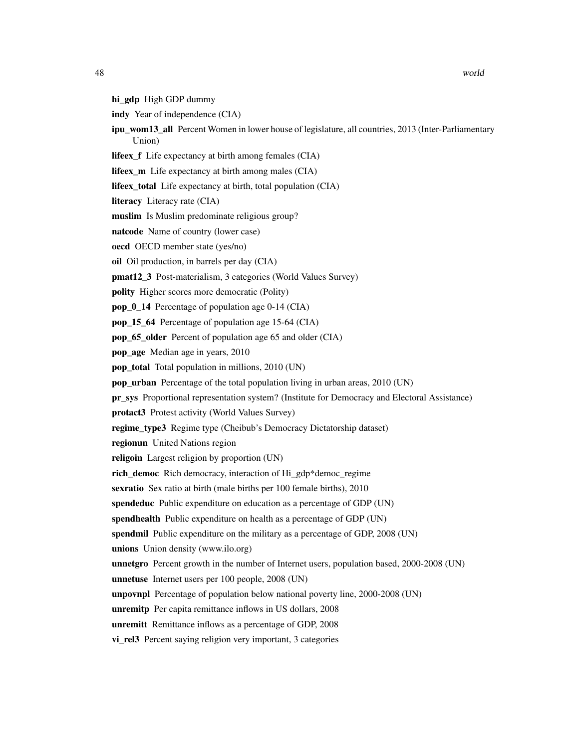- hi\_gdp High GDP dummy
- indy Year of independence (CIA)
- ipu wom13 all Percent Women in lower house of legislature, all countries, 2013 (Inter-Parliamentary Union)
- lifeex\_f Life expectancy at birth among females (CIA)
- lifeex\_m Life expectancy at birth among males (CIA)
- lifeex\_total Life expectancy at birth, total population (CIA)
- literacy Literacy rate (CIA)
- muslim Is Muslim predominate religious group?
- natcode Name of country (lower case)
- oecd OECD member state (yes/no)
- oil Oil production, in barrels per day (CIA)
- pmat12 3 Post-materialism, 3 categories (World Values Survey)
- polity Higher scores more democratic (Polity)
- pop\_0\_14 Percentage of population age 0-14 (CIA)
- pop\_15\_64 Percentage of population age 15-64 (CIA)
- pop\_65\_older Percent of population age 65 and older (CIA)
- pop\_age Median age in years, 2010
- pop\_total Total population in millions, 2010 (UN)
- pop\_urban Percentage of the total population living in urban areas, 2010 (UN)
- pr\_sys Proportional representation system? (Institute for Democracy and Electoral Assistance)
- protact3 Protest activity (World Values Survey)
- regime\_type3 Regime type (Cheibub's Democracy Dictatorship dataset)
- regionun United Nations region
- religoin Largest religion by proportion (UN)
- rich\_democ Rich democracy, interaction of Hi\_gdp\*democ\_regime
- sexratio Sex ratio at birth (male births per 100 female births), 2010
- spendeduc Public expenditure on education as a percentage of GDP (UN)
- spendhealth Public expenditure on health as a percentage of GDP (UN)
- spendmil Public expenditure on the military as a percentage of GDP, 2008 (UN)
- unions Union density (www.ilo.org)
- unnetgro Percent growth in the number of Internet users, population based, 2000-2008 (UN)
- unnetuse Internet users per 100 people, 2008 (UN)
- unpovnpl Percentage of population below national poverty line, 2000-2008 (UN)
- unremitp Per capita remittance inflows in US dollars, 2008
- unremitt Remittance inflows as a percentage of GDP, 2008 vi\_rel3 Percent saying religion very important, 3 categories
-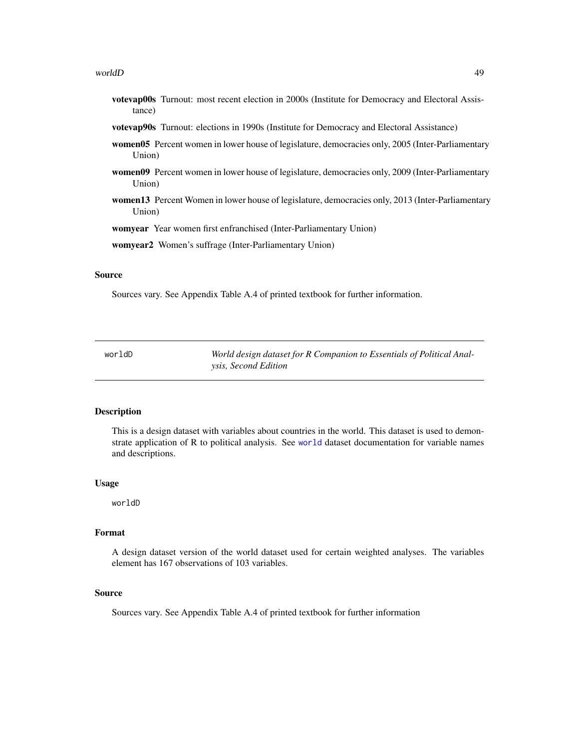#### <span id="page-48-0"></span>worldD 49

- votevap00s Turnout: most recent election in 2000s (Institute for Democracy and Electoral Assistance)
- votevap90s Turnout: elections in 1990s (Institute for Democracy and Electoral Assistance)
- women05 Percent women in lower house of legislature, democracies only, 2005 (Inter-Parliamentary Union)
- women09 Percent women in lower house of legislature, democracies only, 2009 (Inter-Parliamentary Union)
- women13 Percent Women in lower house of legislature, democracies only, 2013 (Inter-Parliamentary Union)

womyear Year women first enfranchised (Inter-Parliamentary Union)

womyear2 Women's suffrage (Inter-Parliamentary Union)

#### Source

Sources vary. See Appendix Table A.4 of printed textbook for further information.

worldD *World design dataset for R Companion to Essentials of Political Analysis, Second Edition*

#### Description

This is a design dataset with variables about countries in the world. This dataset is used to demonstrate application of R to political analysis. See [world](#page-45-1) dataset documentation for variable names and descriptions.

#### Usage

worldD

#### Format

A design dataset version of the world dataset used for certain weighted analyses. The variables element has 167 observations of 103 variables.

#### Source

Sources vary. See Appendix Table A.4 of printed textbook for further information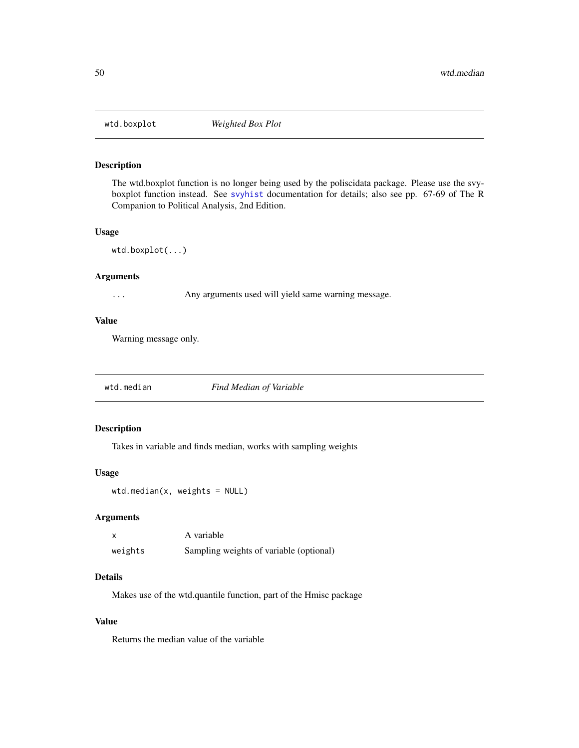<span id="page-49-0"></span>

The wtd.boxplot function is no longer being used by the poliscidata package. Please use the svyboxplot function instead. See [svyhist](#page-0-0) documentation for details; also see pp. 67-69 of The R Companion to Political Analysis, 2nd Edition.

#### Usage

```
wtd.boxplot(...)
```
# Arguments

... Any arguments used will yield same warning message.

#### Value

Warning message only.

wtd.median *Find Median of Variable*

#### Description

Takes in variable and finds median, works with sampling weights

#### Usage

```
wtd.median(x, weights = NULL)
```
#### Arguments

|         | A variable                              |
|---------|-----------------------------------------|
| weights | Sampling weights of variable (optional) |

# Details

Makes use of the wtd.quantile function, part of the Hmisc package

# Value

Returns the median value of the variable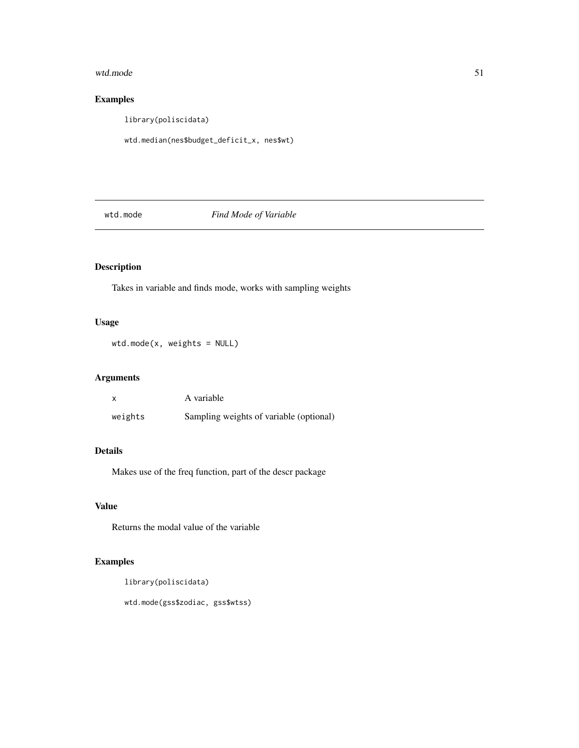#### <span id="page-50-0"></span>wtd.mode 51

# Examples

library(poliscidata)

wtd.median(nes\$budget\_deficit\_x, nes\$wt)

wtd.mode *Find Mode of Variable*

# Description

Takes in variable and finds mode, works with sampling weights

# Usage

wtd.mode(x, weights = NULL)

# Arguments

|         | A variable                              |
|---------|-----------------------------------------|
| weights | Sampling weights of variable (optional) |

#### Details

Makes use of the freq function, part of the descr package

# Value

Returns the modal value of the variable

# Examples

```
library(poliscidata)
```
wtd.mode(gss\$zodiac, gss\$wtss)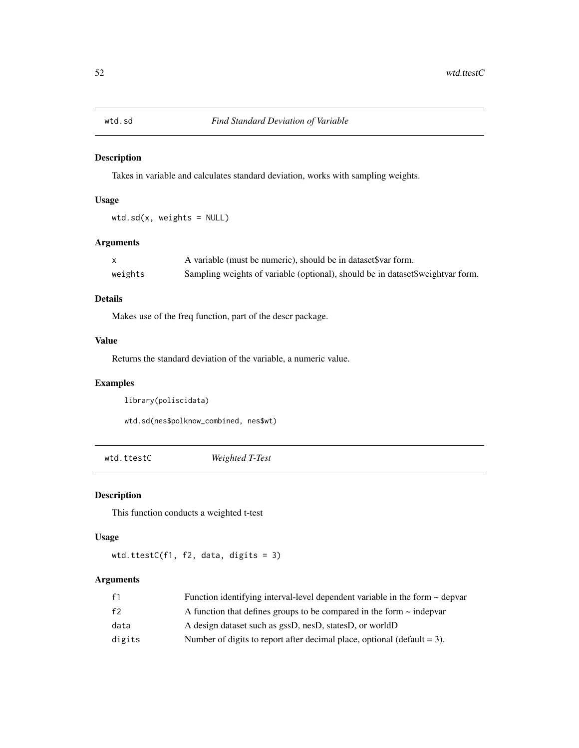<span id="page-51-0"></span>

Takes in variable and calculates standard deviation, works with sampling weights.

# Usage

wtd.sd(x, weights = NULL)

# Arguments

|         | A variable (must be numeric), should be in dataset \$var form.                 |
|---------|--------------------------------------------------------------------------------|
| weights | Sampling weights of variable (optional), should be in dataset\$weightvar form. |

# Details

Makes use of the freq function, part of the descr package.

#### Value

Returns the standard deviation of the variable, a numeric value.

# Examples

library(poliscidata)

wtd.sd(nes\$polknow\_combined, nes\$wt)

wtd.ttestC *Weighted T-Test*

# Description

This function conducts a weighted t-test

#### Usage

```
wtd.ttestC(f1, f2, data, digits = 3)
```
# Arguments

| f <sub>1</sub> | Function identifying interval-level dependent variable in the form $\sim$ depvar |
|----------------|----------------------------------------------------------------------------------|
| f2             | A function that defines groups to be compared in the form $\sim$ indeptra        |
| data           | A design dataset such as gssD, nesD, statesD, or worldD                          |
| digits         | Number of digits to report after decimal place, optional (default $= 3$ ).       |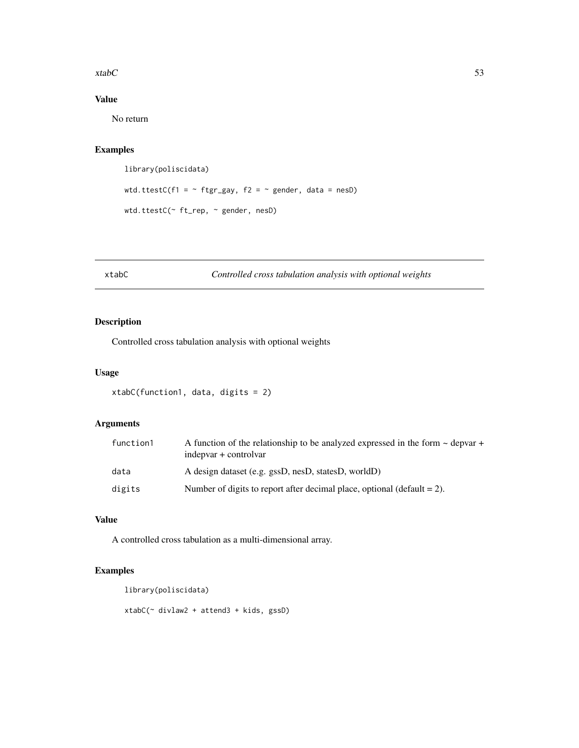<span id="page-52-0"></span> $xtabC$  53

# Value

No return

# Examples

```
library(poliscidata)
wtd.ttestC(f1 = \sim ftgr_gay, f2 = \sim gender, data = nesD)
wtd.ttestC(~ ft_rep, ~ gender, nesD)
```
#### <span id="page-52-1"></span>xtabC *Controlled cross tabulation analysis with optional weights*

# Description

Controlled cross tabulation analysis with optional weights

# Usage

```
xtabC(function1, data, digits = 2)
```
# Arguments

| function1 | A function of the relationship to be analyzed expressed in the form $\sim$ depvar +<br>indepvar + controlvar |
|-----------|--------------------------------------------------------------------------------------------------------------|
| data      | A design dataset (e.g. gssD, nesD, statesD, worldD)                                                          |
| digits    | Number of digits to report after decimal place, optional (default $= 2$ ).                                   |

# Value

A controlled cross tabulation as a multi-dimensional array.

# Examples

```
library(poliscidata)
```
xtabC(~ divlaw2 + attend3 + kids, gssD)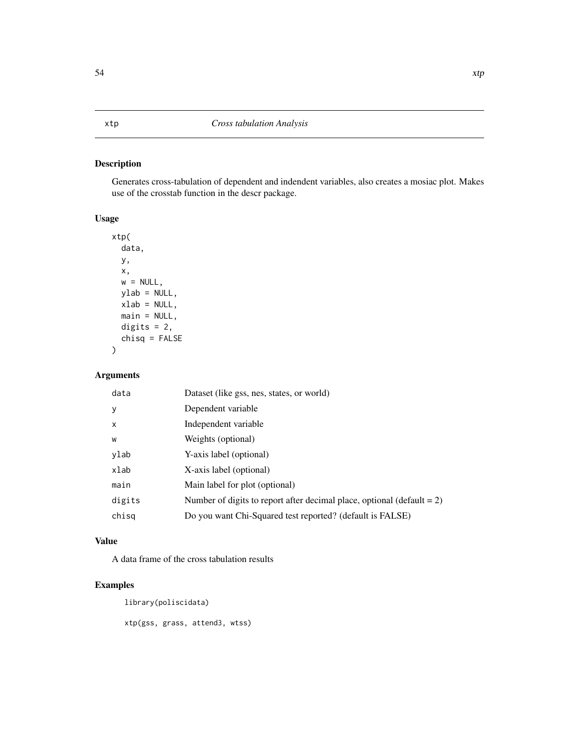<span id="page-53-0"></span>Generates cross-tabulation of dependent and indendent variables, also creates a mosiac plot. Makes use of the crosstab function in the descr package.

# Usage

```
xtp(
  data,
 y,
 x,
 w = NULL,ylab = NULL,
 xlab = NULL,
 main = NULL,
 digits = 2,
  chisq = FALSE
)
```
#### Arguments

| data         | Dataset (like gss, nes, states, or world)                                 |
|--------------|---------------------------------------------------------------------------|
| y            | Dependent variable                                                        |
| $\mathsf{x}$ | Independent variable                                                      |
| W            | Weights (optional)                                                        |
| ylab         | Y-axis label (optional)                                                   |
| xlab         | X-axis label (optional)                                                   |
| main         | Main label for plot (optional)                                            |
| digits       | Number of digits to report after decimal place, optional (default $= 2$ ) |
| chisq        | Do you want Chi-Squared test reported? (default is FALSE)                 |

#### Value

A data frame of the cross tabulation results

# Examples

```
library(poliscidata)
```
xtp(gss, grass, attend3, wtss)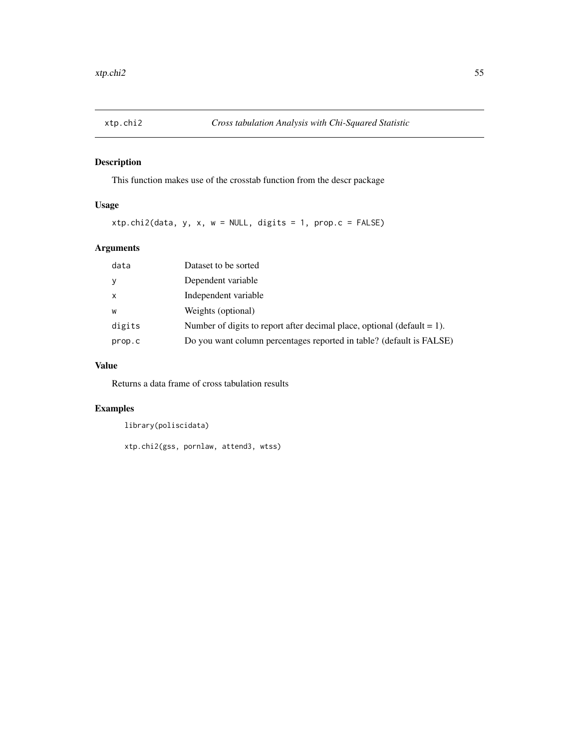<span id="page-54-0"></span>

This function makes use of the crosstab function from the descr package

# Usage

xtp.chi2(data, y, x, w = NULL, digits = 1, prop.c = FALSE)

# Arguments

| data         | Dataset to be sorted                                                       |
|--------------|----------------------------------------------------------------------------|
| У            | Dependent variable                                                         |
| $\mathsf{x}$ | Independent variable                                                       |
| W            | Weights (optional)                                                         |
| digits       | Number of digits to report after decimal place, optional (default $= 1$ ). |
| prop.c       | Do you want column percentages reported in table? (default is FALSE)       |

# Value

Returns a data frame of cross tabulation results

# Examples

```
library(poliscidata)
```

```
xtp.chi2(gss, pornlaw, attend3, wtss)
```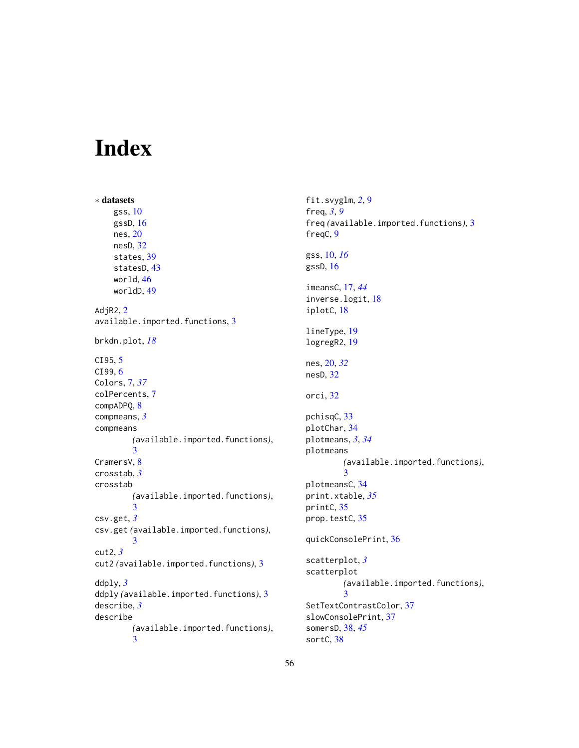# <span id="page-55-0"></span>Index

∗ datasets gss, [10](#page-9-0) gssD, [16](#page-15-0) nes, [20](#page-19-0) nesD, [32](#page-31-0) states, [39](#page-38-0) statesD, [43](#page-42-0) world, [46](#page-45-0) worldD, [49](#page-48-0) AdjR2, [2](#page-1-0) available.imported.functions, [3](#page-2-0) brkdn.plot, *[18](#page-17-0)* CI95, [5](#page-4-0) CI99, [6](#page-5-0) Colors, [7,](#page-6-0) *[37](#page-36-0)* colPercents, [7](#page-6-0) compADPQ, [8](#page-7-0) compmeans, *[3](#page-2-0)* compmeans *(*available.imported.functions*)*, [3](#page-2-0) CramersV, [8](#page-7-0) crosstab, *[3](#page-2-0)* crosstab *(*available.imported.functions*)*, [3](#page-2-0) csv.get, *[3](#page-2-0)* csv.get *(*available.imported.functions*)*, [3](#page-2-0) cut2, *[3](#page-2-0)* cut2 *(*available.imported.functions*)*, [3](#page-2-0) ddply, *[3](#page-2-0)* ddply *(*available.imported.functions*)*, [3](#page-2-0) describe, *[3](#page-2-0)* describe *(*available.imported.functions*)*, [3](#page-2-0)

fit.svyglm, *[2](#page-1-0)*, [9](#page-8-0) freq, *[3](#page-2-0)*, *[9](#page-8-0)* freq *(*available.imported.functions*)*, [3](#page-2-0) freqC, [9](#page-8-0) gss, [10,](#page-9-0) *[16](#page-15-0)* gssD, [16](#page-15-0) imeansC, [17,](#page-16-0) *[44](#page-43-0)* inverse.logit, [18](#page-17-0) iplotC, [18](#page-17-0) lineType, [19](#page-18-0) logregR2, [19](#page-18-0) nes, [20,](#page-19-0) *[32](#page-31-0)* nesD, [32](#page-31-0) orci, [32](#page-31-0) pchisqC, [33](#page-32-0) plotChar, [34](#page-33-0) plotmeans, *[3](#page-2-0)*, *[34](#page-33-0)* plotmeans *(*available.imported.functions*)*, [3](#page-2-0) plotmeansC, [34](#page-33-0) print.xtable, *[35](#page-34-0)* printC, [35](#page-34-0) prop.testC, [35](#page-34-0) quickConsolePrint, [36](#page-35-0) scatterplot, *[3](#page-2-0)* scatterplot *(*available.imported.functions*)*, [3](#page-2-0) SetTextContrastColor, [37](#page-36-0) slowConsolePrint, [37](#page-36-0) somersD, [38,](#page-37-0) *[45](#page-44-0)* sortC, [38](#page-37-0)